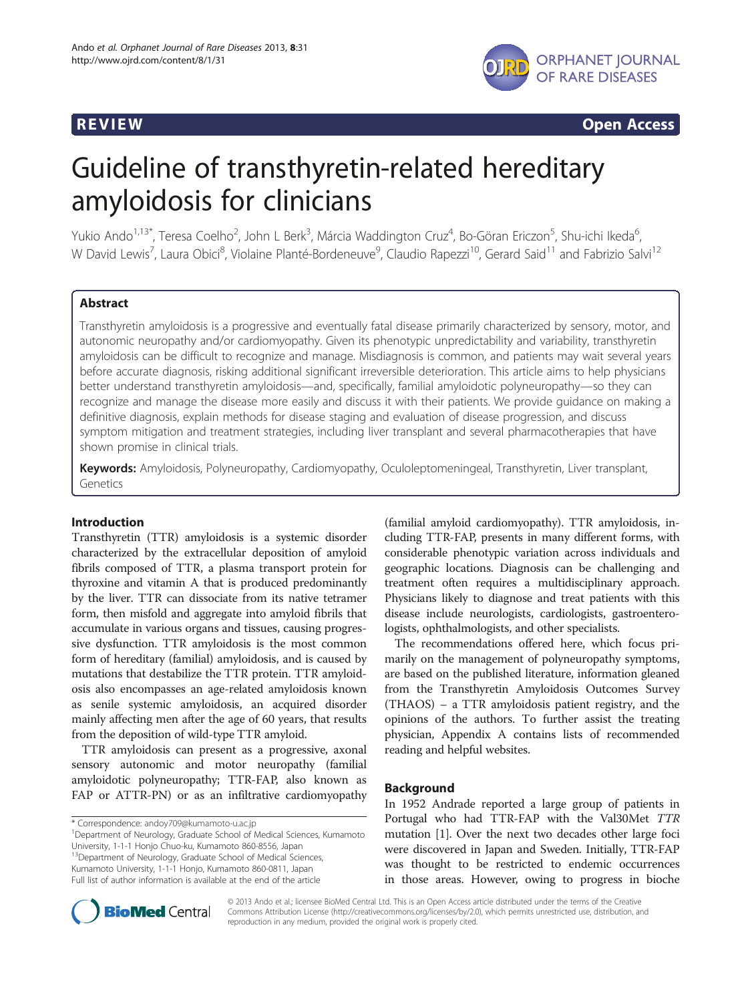

**REVIEW CONSTRUCTION CONTROL** 

# Guideline of transthyretin-related hereditary amyloidosis for clinicians

Yukio Ando<sup>1,13\*</sup>, Teresa Coelho<sup>2</sup>, John L Berk<sup>3</sup>, Márcia Waddington Cruz<sup>4</sup>, Bo-Göran Ericzon<sup>5</sup>, Shu-ichi Ikeda<sup>6</sup> , W David Lewis<sup>7</sup>, Laura Obici<sup>8</sup>, Violaine Planté-Bordeneuve<sup>9</sup>, Claudio Rapezzi<sup>10</sup>, Gerard Said<sup>11</sup> and Fabrizio Salvi<sup>12</sup>

## Abstract

Transthyretin amyloidosis is a progressive and eventually fatal disease primarily characterized by sensory, motor, and autonomic neuropathy and/or cardiomyopathy. Given its phenotypic unpredictability and variability, transthyretin amyloidosis can be difficult to recognize and manage. Misdiagnosis is common, and patients may wait several years before accurate diagnosis, risking additional significant irreversible deterioration. This article aims to help physicians better understand transthyretin amyloidosis—and, specifically, familial amyloidotic polyneuropathy—so they can recognize and manage the disease more easily and discuss it with their patients. We provide guidance on making a definitive diagnosis, explain methods for disease staging and evaluation of disease progression, and discuss symptom mitigation and treatment strategies, including liver transplant and several pharmacotherapies that have shown promise in clinical trials.

Keywords: Amyloidosis, Polyneuropathy, Cardiomyopathy, Oculoleptomeningeal, Transthyretin, Liver transplant, Genetics

## Introduction

Transthyretin (TTR) amyloidosis is a systemic disorder characterized by the extracellular deposition of amyloid fibrils composed of TTR, a plasma transport protein for thyroxine and vitamin A that is produced predominantly by the liver. TTR can dissociate from its native tetramer form, then misfold and aggregate into amyloid fibrils that accumulate in various organs and tissues, causing progressive dysfunction. TTR amyloidosis is the most common form of hereditary (familial) amyloidosis, and is caused by mutations that destabilize the TTR protein. TTR amyloidosis also encompasses an age-related amyloidosis known as senile systemic amyloidosis, an acquired disorder mainly affecting men after the age of 60 years, that results from the deposition of wild-type TTR amyloid.

TTR amyloidosis can present as a progressive, axonal sensory autonomic and motor neuropathy (familial amyloidotic polyneuropathy; TTR-FAP, also known as FAP or ATTR-PN) or as an infiltrative cardiomyopathy

\* Correspondence: [andoy709@kumamoto-u.ac.jp](mailto:andoy709@kumamoto-u.ac.jp) <sup>1</sup>

<sup>1</sup>Department of Neurology, Graduate School of Medical Sciences, Kumamoto University, 1-1-1 Honjo Chuo-ku, Kumamoto 860-8556, Japan

<sup>13</sup>Department of Neurology, Graduate School of Medical Sciences, Kumamoto University, 1-1-1 Honjo, Kumamoto 860-0811, Japan Full list of author information is available at the end of the article

(familial amyloid cardiomyopathy). TTR amyloidosis, including TTR-FAP, presents in many different forms, with considerable phenotypic variation across individuals and geographic locations. Diagnosis can be challenging and treatment often requires a multidisciplinary approach. Physicians likely to diagnose and treat patients with this disease include neurologists, cardiologists, gastroenterologists, ophthalmologists, and other specialists.

The recommendations offered here, which focus primarily on the management of polyneuropathy symptoms, are based on the published literature, information gleaned from the Transthyretin Amyloidosis Outcomes Survey (THAOS) – a TTR amyloidosis patient registry, and the opinions of the authors. To further assist the treating physician, Appendix [A](#page-11-0) contains lists of recommended reading and helpful websites.

#### Background

In 1952 Andrade reported a large group of patients in Portugal who had TTR-FAP with the Val30Met TTR mutation [\[1\]](#page-15-0). Over the next two decades other large foci were discovered in Japan and Sweden. Initially, TTR-FAP was thought to be restricted to endemic occurrences in those areas. However, owing to progress in bioche



© 2013 Ando et al.; licensee BioMed Central Ltd. This is an Open Access article distributed under the terms of the Creative Commons Attribution License [\(http://creativecommons.org/licenses/by/2.0\)](http://creativecommons.org/licenses/by/2.0), which permits unrestricted use, distribution, and reproduction in any medium, provided the original work is properly cited.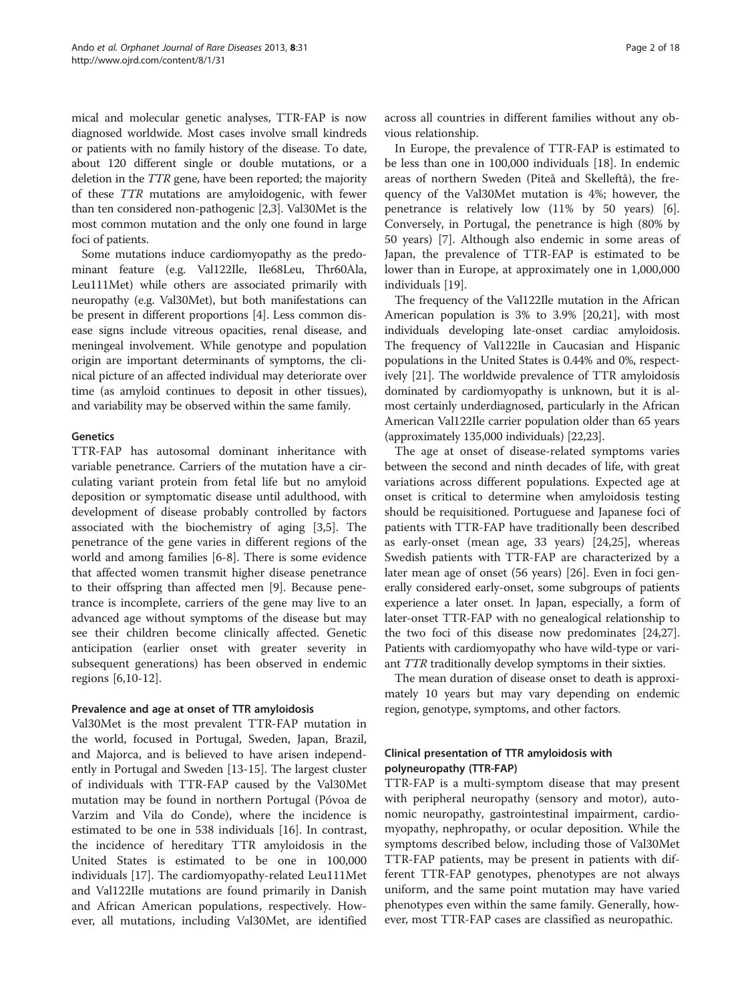mical and molecular genetic analyses, TTR-FAP is now diagnosed worldwide. Most cases involve small kindreds or patients with no family history of the disease. To date, about 120 different single or double mutations, or a deletion in the TTR gene, have been reported; the majority of these TTR mutations are amyloidogenic, with fewer than ten considered non-pathogenic [[2](#page-15-0),[3](#page-15-0)]. Val30Met is the most common mutation and the only one found in large foci of patients.

Some mutations induce cardiomyopathy as the predominant feature (e.g. Val122Ile, Ile68Leu, Thr60Ala, Leu111Met) while others are associated primarily with neuropathy (e.g. Val30Met), but both manifestations can be present in different proportions [\[4\]](#page-15-0). Less common disease signs include vitreous opacities, renal disease, and meningeal involvement. While genotype and population origin are important determinants of symptoms, the clinical picture of an affected individual may deteriorate over time (as amyloid continues to deposit in other tissues), and variability may be observed within the same family.

## **Genetics**

TTR-FAP has autosomal dominant inheritance with variable penetrance. Carriers of the mutation have a circulating variant protein from fetal life but no amyloid deposition or symptomatic disease until adulthood, with development of disease probably controlled by factors associated with the biochemistry of aging [[3,5\]](#page-15-0). The penetrance of the gene varies in different regions of the world and among families [[6-8](#page-15-0)]. There is some evidence that affected women transmit higher disease penetrance to their offspring than affected men [\[9](#page-15-0)]. Because penetrance is incomplete, carriers of the gene may live to an advanced age without symptoms of the disease but may see their children become clinically affected. Genetic anticipation (earlier onset with greater severity in subsequent generations) has been observed in endemic regions [\[6,10](#page-15-0)-[12\]](#page-15-0).

#### Prevalence and age at onset of TTR amyloidosis

Val30Met is the most prevalent TTR-FAP mutation in the world, focused in Portugal, Sweden, Japan, Brazil, and Majorca, and is believed to have arisen independently in Portugal and Sweden [\[13-15](#page-15-0)]. The largest cluster of individuals with TTR-FAP caused by the Val30Met mutation may be found in northern Portugal (Póvoa de Varzim and Vila do Conde), where the incidence is estimated to be one in 538 individuals [[16\]](#page-15-0). In contrast, the incidence of hereditary TTR amyloidosis in the United States is estimated to be one in 100,000 individuals [[17\]](#page-15-0). The cardiomyopathy-related Leu111Met and Val122Ile mutations are found primarily in Danish and African American populations, respectively. However, all mutations, including Val30Met, are identified

across all countries in different families without any obvious relationship.

In Europe, the prevalence of TTR-FAP is estimated to be less than one in 100,000 individuals [\[18\]](#page-15-0). In endemic areas of northern Sweden (Piteå and Skelleftå), the frequency of the Val30Met mutation is 4%; however, the penetrance is relatively low (11% by 50 years) [\[6](#page-15-0)]. Conversely, in Portugal, the penetrance is high (80% by 50 years) [\[7](#page-15-0)]. Although also endemic in some areas of Japan, the prevalence of TTR-FAP is estimated to be lower than in Europe, at approximately one in 1,000,000 individuals [[19\]](#page-15-0).

The frequency of the Val122Ile mutation in the African American population is 3% to 3.9% [[20,21\]](#page-15-0), with most individuals developing late-onset cardiac amyloidosis. The frequency of Val122Ile in Caucasian and Hispanic populations in the United States is 0.44% and 0%, respectively [\[21\]](#page-15-0). The worldwide prevalence of TTR amyloidosis dominated by cardiomyopathy is unknown, but it is almost certainly underdiagnosed, particularly in the African American Val122Ile carrier population older than 65 years (approximately 135,000 individuals) [[22,23\]](#page-15-0).

The age at onset of disease-related symptoms varies between the second and ninth decades of life, with great variations across different populations. Expected age at onset is critical to determine when amyloidosis testing should be requisitioned. Portuguese and Japanese foci of patients with TTR-FAP have traditionally been described as early-onset (mean age, 33 years) [\[24,25](#page-15-0)], whereas Swedish patients with TTR-FAP are characterized by a later mean age of onset (56 years) [[26](#page-15-0)]. Even in foci generally considered early-onset, some subgroups of patients experience a later onset. In Japan, especially, a form of later-onset TTR-FAP with no genealogical relationship to the two foci of this disease now predominates [\[24,27](#page-15-0)]. Patients with cardiomyopathy who have wild-type or variant TTR traditionally develop symptoms in their sixties.

The mean duration of disease onset to death is approximately 10 years but may vary depending on endemic region, genotype, symptoms, and other factors.

## Clinical presentation of TTR amyloidosis with polyneuropathy (TTR-FAP)

TTR-FAP is a multi-symptom disease that may present with peripheral neuropathy (sensory and motor), autonomic neuropathy, gastrointestinal impairment, cardiomyopathy, nephropathy, or ocular deposition. While the symptoms described below, including those of Val30Met TTR-FAP patients, may be present in patients with different TTR-FAP genotypes, phenotypes are not always uniform, and the same point mutation may have varied phenotypes even within the same family. Generally, however, most TTR-FAP cases are classified as neuropathic.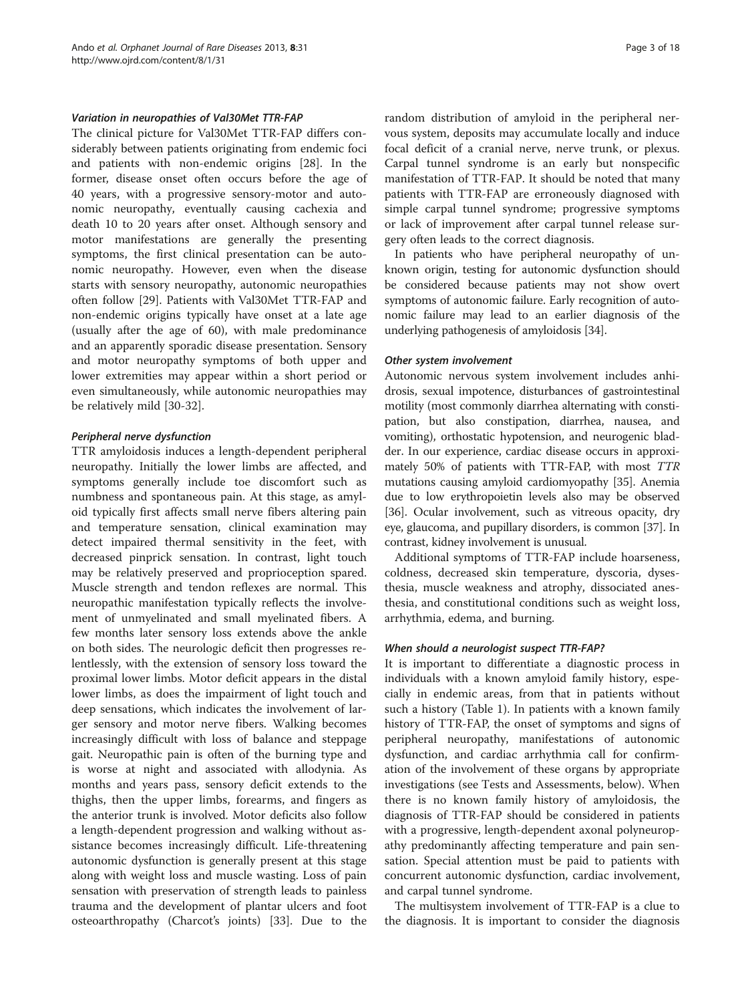#### Variation in neuropathies of Val30Met TTR-FAP

The clinical picture for Val30Met TTR-FAP differs considerably between patients originating from endemic foci and patients with non-endemic origins [\[28](#page-15-0)]. In the former, disease onset often occurs before the age of 40 years, with a progressive sensory-motor and autonomic neuropathy, eventually causing cachexia and death 10 to 20 years after onset. Although sensory and motor manifestations are generally the presenting symptoms, the first clinical presentation can be autonomic neuropathy. However, even when the disease starts with sensory neuropathy, autonomic neuropathies often follow [\[29\]](#page-15-0). Patients with Val30Met TTR-FAP and non-endemic origins typically have onset at a late age (usually after the age of 60), with male predominance and an apparently sporadic disease presentation. Sensory and motor neuropathy symptoms of both upper and lower extremities may appear within a short period or even simultaneously, while autonomic neuropathies may be relatively mild [\[30](#page-15-0)-[32\]](#page-15-0).

#### Peripheral nerve dysfunction

TTR amyloidosis induces a length-dependent peripheral neuropathy. Initially the lower limbs are affected, and symptoms generally include toe discomfort such as numbness and spontaneous pain. At this stage, as amyloid typically first affects small nerve fibers altering pain and temperature sensation, clinical examination may detect impaired thermal sensitivity in the feet, with decreased pinprick sensation. In contrast, light touch may be relatively preserved and proprioception spared. Muscle strength and tendon reflexes are normal. This neuropathic manifestation typically reflects the involvement of unmyelinated and small myelinated fibers. A few months later sensory loss extends above the ankle on both sides. The neurologic deficit then progresses relentlessly, with the extension of sensory loss toward the proximal lower limbs. Motor deficit appears in the distal lower limbs, as does the impairment of light touch and deep sensations, which indicates the involvement of larger sensory and motor nerve fibers. Walking becomes increasingly difficult with loss of balance and steppage gait. Neuropathic pain is often of the burning type and is worse at night and associated with allodynia. As months and years pass, sensory deficit extends to the thighs, then the upper limbs, forearms, and fingers as the anterior trunk is involved. Motor deficits also follow a length-dependent progression and walking without assistance becomes increasingly difficult. Life-threatening autonomic dysfunction is generally present at this stage along with weight loss and muscle wasting. Loss of pain sensation with preservation of strength leads to painless trauma and the development of plantar ulcers and foot osteoarthropathy (Charcot's joints) [[33\]](#page-15-0). Due to the

random distribution of amyloid in the peripheral nervous system, deposits may accumulate locally and induce focal deficit of a cranial nerve, nerve trunk, or plexus. Carpal tunnel syndrome is an early but nonspecific manifestation of TTR-FAP. It should be noted that many patients with TTR-FAP are erroneously diagnosed with simple carpal tunnel syndrome; progressive symptoms or lack of improvement after carpal tunnel release surgery often leads to the correct diagnosis.

In patients who have peripheral neuropathy of unknown origin, testing for autonomic dysfunction should be considered because patients may not show overt symptoms of autonomic failure. Early recognition of autonomic failure may lead to an earlier diagnosis of the underlying pathogenesis of amyloidosis [\[34\]](#page-16-0).

#### Other system involvement

Autonomic nervous system involvement includes anhidrosis, sexual impotence, disturbances of gastrointestinal motility (most commonly diarrhea alternating with constipation, but also constipation, diarrhea, nausea, and vomiting), orthostatic hypotension, and neurogenic bladder. In our experience, cardiac disease occurs in approximately 50% of patients with TTR-FAP, with most TTR mutations causing amyloid cardiomyopathy [[35](#page-16-0)]. Anemia due to low erythropoietin levels also may be observed [[36](#page-16-0)]. Ocular involvement, such as vitreous opacity, dry eye, glaucoma, and pupillary disorders, is common [[37](#page-16-0)]. In contrast, kidney involvement is unusual.

Additional symptoms of TTR-FAP include hoarseness, coldness, decreased skin temperature, dyscoria, dysesthesia, muscle weakness and atrophy, dissociated anesthesia, and constitutional conditions such as weight loss, arrhythmia, edema, and burning.

#### When should a neurologist suspect TTR-FAP?

It is important to differentiate a diagnostic process in individuals with a known amyloid family history, especially in endemic areas, from that in patients without such a history (Table [1\)](#page-3-0). In patients with a known family history of TTR-FAP, the onset of symptoms and signs of peripheral neuropathy, manifestations of autonomic dysfunction, and cardiac arrhythmia call for confirmation of the involvement of these organs by appropriate investigations (see Tests and Assessments, below). When there is no known family history of amyloidosis, the diagnosis of TTR-FAP should be considered in patients with a progressive, length-dependent axonal polyneuropathy predominantly affecting temperature and pain sensation. Special attention must be paid to patients with concurrent autonomic dysfunction, cardiac involvement, and carpal tunnel syndrome.

The multisystem involvement of TTR-FAP is a clue to the diagnosis. It is important to consider the diagnosis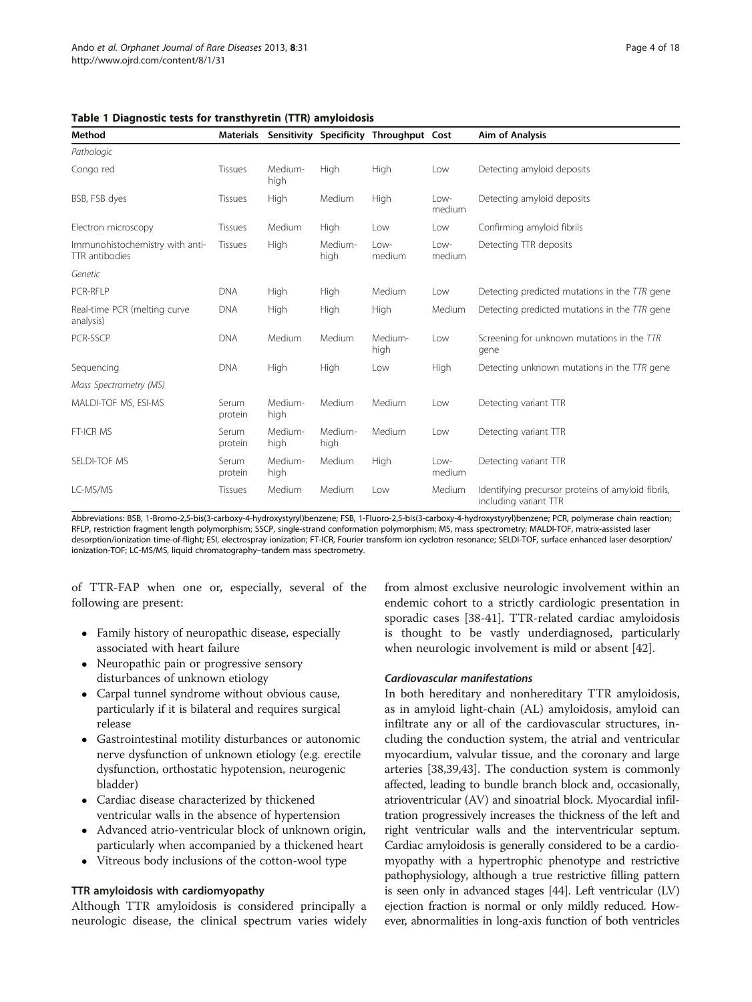| Method                                            |                  |                 |                 | Materials Sensitivity Specificity Throughput Cost |                | Aim of Analysis                                                             |
|---------------------------------------------------|------------------|-----------------|-----------------|---------------------------------------------------|----------------|-----------------------------------------------------------------------------|
| Pathologic                                        |                  |                 |                 |                                                   |                |                                                                             |
| Congo red                                         | <b>Tissues</b>   | Medium-<br>high | High            | High                                              | Low            | Detecting amyloid deposits                                                  |
| BSB, FSB dyes                                     | <b>Tissues</b>   | High            | Medium          | High                                              | Low-<br>medium | Detecting amyloid deposits                                                  |
| Electron microscopy                               | <b>Tissues</b>   | Medium          | High            | Low                                               | Low            | Confirming amyloid fibrils                                                  |
| Immunohistochemistry with anti-<br>TTR antibodies | <b>Tissues</b>   | <b>High</b>     | Medium-<br>high | Low-<br>medium                                    | Low-<br>medium | Detecting TTR deposits                                                      |
| Genetic                                           |                  |                 |                 |                                                   |                |                                                                             |
| <b>PCR-RFLP</b>                                   | <b>DNA</b>       | <b>High</b>     | High            | Medium                                            | Low            | Detecting predicted mutations in the TTR gene                               |
| Real-time PCR (melting curve<br>analysis)         | <b>DNA</b>       | High            | High            | High                                              | Medium         | Detecting predicted mutations in the TTR gene                               |
| PCR-SSCP                                          | <b>DNA</b>       | Medium          | Medium          | Medium-<br>high                                   | Low            | Screening for unknown mutations in the TTR<br>gene                          |
| Sequencing                                        | <b>DNA</b>       | <b>High</b>     | High            | Low                                               | <b>High</b>    | Detecting unknown mutations in the TTR gene                                 |
| Mass Spectrometry (MS)                            |                  |                 |                 |                                                   |                |                                                                             |
| MALDI-TOF MS, ESI-MS                              | Serum<br>protein | Medium-<br>high | Medium          | Medium                                            | Low            | Detecting variant TTR                                                       |
| <b>FT-ICR MS</b>                                  | Serum<br>protein | Medium-<br>high | Medium-<br>high | Medium                                            | Low            | Detecting variant TTR                                                       |
| SELDI-TOF MS                                      | Serum<br>protein | Medium-<br>high | Medium          | High                                              | Low-<br>medium | Detecting variant TTR                                                       |
| LC-MS/MS                                          | <b>Tissues</b>   | Medium          | Medium          | Low                                               | Medium         | Identifying precursor proteins of amyloid fibrils,<br>including variant TTR |

<span id="page-3-0"></span>Table 1 Diagnostic tests for transthyretin (TTR) amyloidosis

Abbreviations: BSB, 1-Bromo-2,5-bis(3-carboxy-4-hydroxystyryl)benzene; FSB, 1-Fluoro-2,5-bis(3-carboxy-4-hydroxystyryl)benzene; PCR, polymerase chain reaction; RFLP, restriction fragment length polymorphism; SSCP, single-strand conformation polymorphism; MS, mass spectrometry; MALDI-TOF, matrix-assisted laser desorption/ionization time-of-flight; ESI, electrospray ionization; FT-ICR, Fourier transform ion cyclotron resonance; SELDI-TOF, surface enhanced laser desorption/ ionization-TOF; LC-MS/MS, liquid chromatography–tandem mass spectrometry.

of TTR-FAP when one or, especially, several of the following are present:

- Family history of neuropathic disease, especially associated with heart failure
- Neuropathic pain or progressive sensory disturbances of unknown etiology
- Carpal tunnel syndrome without obvious cause, particularly if it is bilateral and requires surgical release
- Gastrointestinal motility disturbances or autonomic nerve dysfunction of unknown etiology (e.g. erectile dysfunction, orthostatic hypotension, neurogenic bladder)
- Cardiac disease characterized by thickened ventricular walls in the absence of hypertension
- Advanced atrio-ventricular block of unknown origin, particularly when accompanied by a thickened heart
- Vitreous body inclusions of the cotton-wool type

## TTR amyloidosis with cardiomyopathy

Although TTR amyloidosis is considered principally a neurologic disease, the clinical spectrum varies widely

from almost exclusive neurologic involvement within an endemic cohort to a strictly cardiologic presentation in sporadic cases [\[38-41](#page-16-0)]. TTR-related cardiac amyloidosis is thought to be vastly underdiagnosed, particularly when neurologic involvement is mild or absent [[42\]](#page-16-0).

## Cardiovascular manifestations

In both hereditary and nonhereditary TTR amyloidosis, as in amyloid light-chain (AL) amyloidosis, amyloid can infiltrate any or all of the cardiovascular structures, including the conduction system, the atrial and ventricular myocardium, valvular tissue, and the coronary and large arteries [[38](#page-16-0),[39,43](#page-16-0)]. The conduction system is commonly affected, leading to bundle branch block and, occasionally, atrioventricular (AV) and sinoatrial block. Myocardial infiltration progressively increases the thickness of the left and right ventricular walls and the interventricular septum. Cardiac amyloidosis is generally considered to be a cardiomyopathy with a hypertrophic phenotype and restrictive pathophysiology, although a true restrictive filling pattern is seen only in advanced stages [[44](#page-16-0)]. Left ventricular (LV) ejection fraction is normal or only mildly reduced. However, abnormalities in long-axis function of both ventricles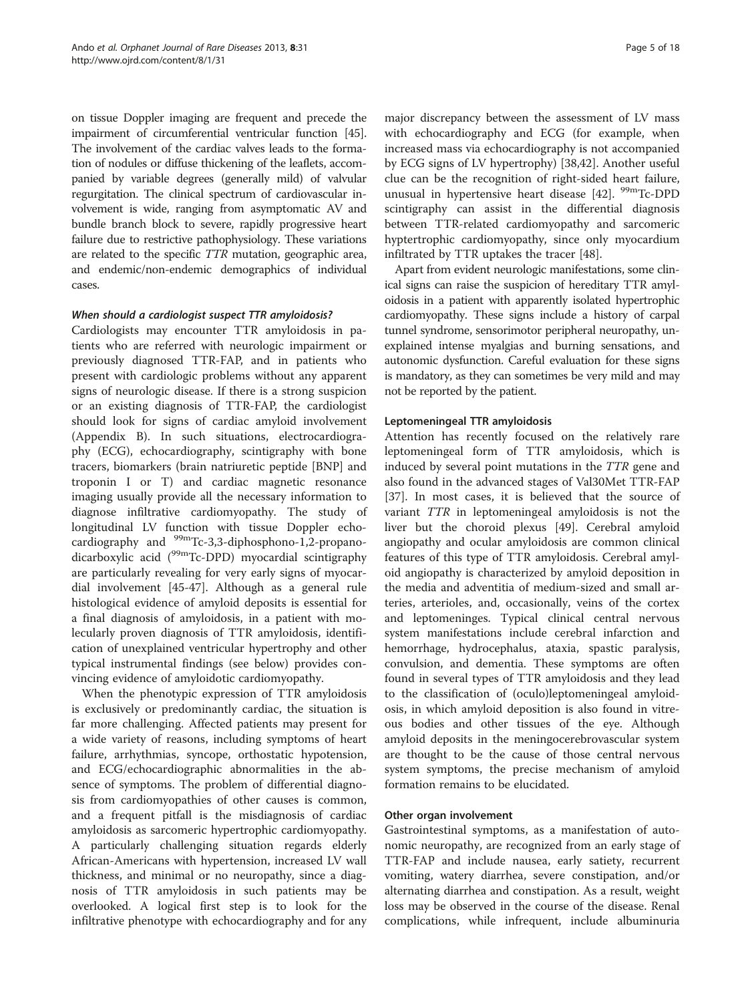on tissue Doppler imaging are frequent and precede the impairment of circumferential ventricular function [[45](#page-16-0)]. The involvement of the cardiac valves leads to the formation of nodules or diffuse thickening of the leaflets, accompanied by variable degrees (generally mild) of valvular regurgitation. The clinical spectrum of cardiovascular involvement is wide, ranging from asymptomatic AV and bundle branch block to severe, rapidly progressive heart failure due to restrictive pathophysiology. These variations are related to the specific TTR mutation, geographic area, and endemic/non-endemic demographics of individual cases.

## When should a cardiologist suspect TTR amyloidosis?

Cardiologists may encounter TTR amyloidosis in patients who are referred with neurologic impairment or previously diagnosed TTR-FAP, and in patients who present with cardiologic problems without any apparent signs of neurologic disease. If there is a strong suspicion or an existing diagnosis of TTR-FAP, the cardiologist should look for signs of cardiac amyloid involvement (Appendix [B\)](#page-13-0). In such situations, electrocardiography (ECG), echocardiography, scintigraphy with bone tracers, biomarkers (brain natriuretic peptide [BNP] and troponin I or T) and cardiac magnetic resonance imaging usually provide all the necessary information to diagnose infiltrative cardiomyopathy. The study of longitudinal LV function with tissue Doppler echocardiography and  $^{99m}$ Tc-3,3-diphosphono-1,2-propanodicarboxylic acid (<sup>99m</sup>Tc-DPD) myocardial scintigraphy are particularly revealing for very early signs of myocardial involvement [\[45](#page-16-0)-[47\]](#page-16-0). Although as a general rule histological evidence of amyloid deposits is essential for a final diagnosis of amyloidosis, in a patient with molecularly proven diagnosis of TTR amyloidosis, identification of unexplained ventricular hypertrophy and other typical instrumental findings (see below) provides convincing evidence of amyloidotic cardiomyopathy.

When the phenotypic expression of TTR amyloidosis is exclusively or predominantly cardiac, the situation is far more challenging. Affected patients may present for a wide variety of reasons, including symptoms of heart failure, arrhythmias, syncope, orthostatic hypotension, and ECG/echocardiographic abnormalities in the absence of symptoms. The problem of differential diagnosis from cardiomyopathies of other causes is common, and a frequent pitfall is the misdiagnosis of cardiac amyloidosis as sarcomeric hypertrophic cardiomyopathy. A particularly challenging situation regards elderly African-Americans with hypertension, increased LV wall thickness, and minimal or no neuropathy, since a diagnosis of TTR amyloidosis in such patients may be overlooked. A logical first step is to look for the infiltrative phenotype with echocardiography and for any

major discrepancy between the assessment of LV mass with echocardiography and ECG (for example, when increased mass via echocardiography is not accompanied by ECG signs of LV hypertrophy) [\[38,42](#page-16-0)]. Another useful clue can be the recognition of right-sided heart failure, unusual in hypertensive heart disease [[42\]](#page-16-0). <sup>99m</sup>Tc-DPD scintigraphy can assist in the differential diagnosis between TTR-related cardiomyopathy and sarcomeric hyptertrophic cardiomyopathy, since only myocardium infiltrated by TTR uptakes the tracer [\[48\]](#page-16-0).

Apart from evident neurologic manifestations, some clinical signs can raise the suspicion of hereditary TTR amyloidosis in a patient with apparently isolated hypertrophic cardiomyopathy. These signs include a history of carpal tunnel syndrome, sensorimotor peripheral neuropathy, unexplained intense myalgias and burning sensations, and autonomic dysfunction. Careful evaluation for these signs is mandatory, as they can sometimes be very mild and may not be reported by the patient.

### Leptomeningeal TTR amyloidosis

Attention has recently focused on the relatively rare leptomeningeal form of TTR amyloidosis, which is induced by several point mutations in the TTR gene and also found in the advanced stages of Val30Met TTR-FAP [[37\]](#page-16-0). In most cases, it is believed that the source of variant TTR in leptomeningeal amyloidosis is not the liver but the choroid plexus [[49\]](#page-16-0). Cerebral amyloid angiopathy and ocular amyloidosis are common clinical features of this type of TTR amyloidosis. Cerebral amyloid angiopathy is characterized by amyloid deposition in the media and adventitia of medium-sized and small arteries, arterioles, and, occasionally, veins of the cortex and leptomeninges. Typical clinical central nervous system manifestations include cerebral infarction and hemorrhage, hydrocephalus, ataxia, spastic paralysis, convulsion, and dementia. These symptoms are often found in several types of TTR amyloidosis and they lead to the classification of (oculo)leptomeningeal amyloidosis, in which amyloid deposition is also found in vitreous bodies and other tissues of the eye. Although amyloid deposits in the meningocerebrovascular system are thought to be the cause of those central nervous system symptoms, the precise mechanism of amyloid formation remains to be elucidated.

## Other organ involvement

Gastrointestinal symptoms, as a manifestation of autonomic neuropathy, are recognized from an early stage of TTR-FAP and include nausea, early satiety, recurrent vomiting, watery diarrhea, severe constipation, and/or alternating diarrhea and constipation. As a result, weight loss may be observed in the course of the disease. Renal complications, while infrequent, include albuminuria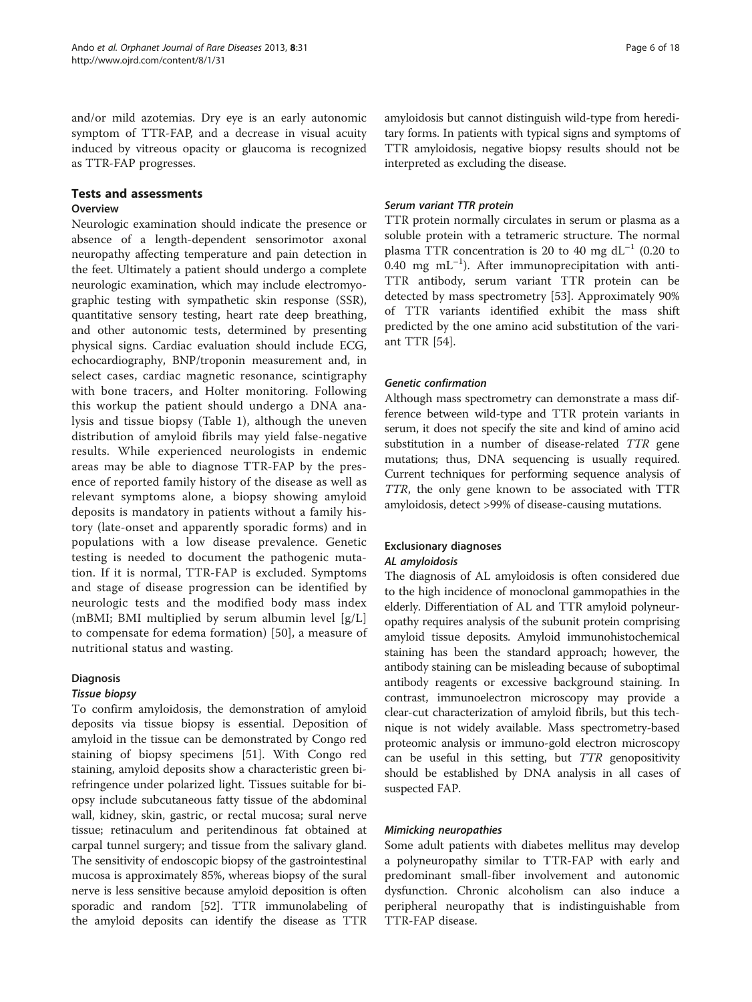and/or mild azotemias. Dry eye is an early autonomic symptom of TTR-FAP, and a decrease in visual acuity induced by vitreous opacity or glaucoma is recognized as TTR-FAP progresses.

## Tests and assessments

#### **Overview**

Neurologic examination should indicate the presence or absence of a length-dependent sensorimotor axonal neuropathy affecting temperature and pain detection in the feet. Ultimately a patient should undergo a complete neurologic examination, which may include electromyographic testing with sympathetic skin response (SSR), quantitative sensory testing, heart rate deep breathing, and other autonomic tests, determined by presenting physical signs. Cardiac evaluation should include ECG, echocardiography, BNP/troponin measurement and, in select cases, cardiac magnetic resonance, scintigraphy with bone tracers, and Holter monitoring. Following this workup the patient should undergo a DNA analysis and tissue biopsy (Table [1](#page-3-0)), although the uneven distribution of amyloid fibrils may yield false-negative results. While experienced neurologists in endemic areas may be able to diagnose TTR-FAP by the presence of reported family history of the disease as well as relevant symptoms alone, a biopsy showing amyloid deposits is mandatory in patients without a family history (late-onset and apparently sporadic forms) and in populations with a low disease prevalence. Genetic testing is needed to document the pathogenic mutation. If it is normal, TTR-FAP is excluded. Symptoms and stage of disease progression can be identified by neurologic tests and the modified body mass index (mBMI; BMI multiplied by serum albumin level [g/L] to compensate for edema formation) [[50](#page-16-0)], a measure of nutritional status and wasting.

## Diagnosis

## Tissue biopsy

To confirm amyloidosis, the demonstration of amyloid deposits via tissue biopsy is essential. Deposition of amyloid in the tissue can be demonstrated by Congo red staining of biopsy specimens [[51](#page-16-0)]. With Congo red staining, amyloid deposits show a characteristic green birefringence under polarized light. Tissues suitable for biopsy include subcutaneous fatty tissue of the abdominal wall, kidney, skin, gastric, or rectal mucosa; sural nerve tissue; retinaculum and peritendinous fat obtained at carpal tunnel surgery; and tissue from the salivary gland. The sensitivity of endoscopic biopsy of the gastrointestinal mucosa is approximately 85%, whereas biopsy of the sural nerve is less sensitive because amyloid deposition is often sporadic and random [[52](#page-16-0)]. TTR immunolabeling of the amyloid deposits can identify the disease as TTR amyloidosis but cannot distinguish wild-type from hereditary forms. In patients with typical signs and symptoms of TTR amyloidosis, negative biopsy results should not be interpreted as excluding the disease.

## Serum variant TTR protein

TTR protein normally circulates in serum or plasma as a soluble protein with a tetrameric structure. The normal plasma TTR concentration is 20 to 40 mg  $dL^{-1}$  (0.20 to  $0.40$  mg mL $^{-1}$ ). After immunoprecipitation with anti-TTR antibody, serum variant TTR protein can be detected by mass spectrometry [\[53](#page-16-0)]. Approximately 90% of TTR variants identified exhibit the mass shift predicted by the one amino acid substitution of the variant TTR [[54\]](#page-16-0).

## Genetic confirmation

Although mass spectrometry can demonstrate a mass difference between wild-type and TTR protein variants in serum, it does not specify the site and kind of amino acid substitution in a number of disease-related TTR gene mutations; thus, DNA sequencing is usually required. Current techniques for performing sequence analysis of TTR, the only gene known to be associated with TTR amyloidosis, detect >99% of disease-causing mutations.

## Exclusionary diagnoses AL amyloidosis

The diagnosis of AL amyloidosis is often considered due to the high incidence of monoclonal gammopathies in the elderly. Differentiation of AL and TTR amyloid polyneuropathy requires analysis of the subunit protein comprising amyloid tissue deposits. Amyloid immunohistochemical staining has been the standard approach; however, the antibody staining can be misleading because of suboptimal antibody reagents or excessive background staining. In contrast, immunoelectron microscopy may provide a clear-cut characterization of amyloid fibrils, but this technique is not widely available. Mass spectrometry-based proteomic analysis or immuno-gold electron microscopy can be useful in this setting, but TTR genopositivity should be established by DNA analysis in all cases of suspected FAP.

## Mimicking neuropathies

Some adult patients with diabetes mellitus may develop a polyneuropathy similar to TTR-FAP with early and predominant small-fiber involvement and autonomic dysfunction. Chronic alcoholism can also induce a peripheral neuropathy that is indistinguishable from TTR-FAP disease.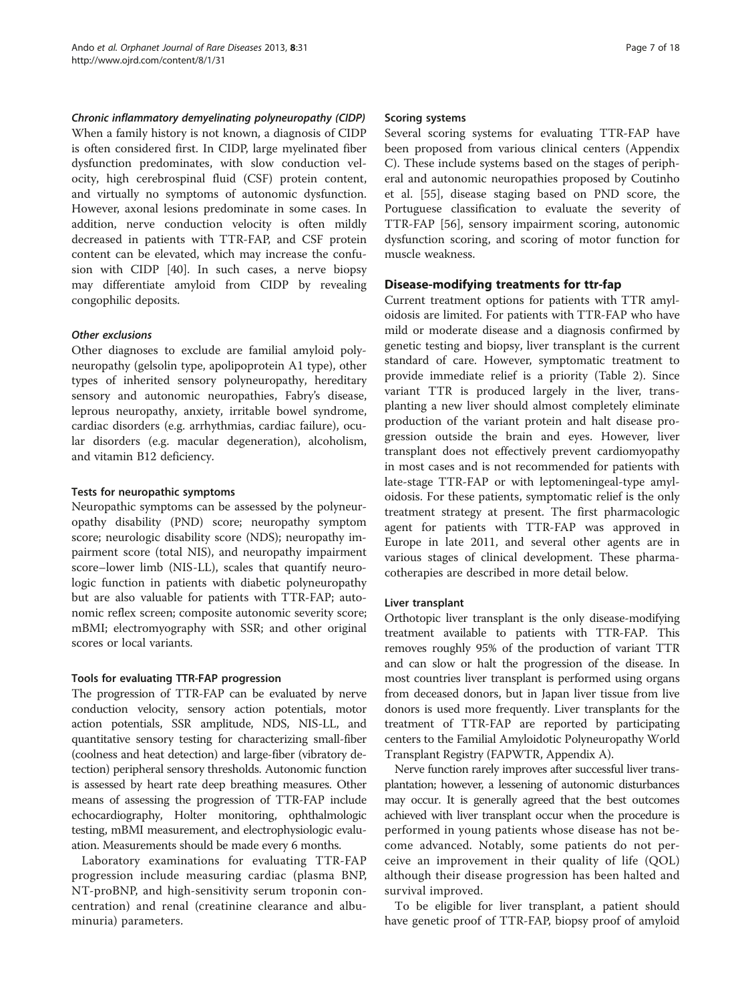Chronic inflammatory demyelinating polyneuropathy (CIDP)

When a family history is not known, a diagnosis of CIDP is often considered first. In CIDP, large myelinated fiber dysfunction predominates, with slow conduction velocity, high cerebrospinal fluid (CSF) protein content, and virtually no symptoms of autonomic dysfunction. However, axonal lesions predominate in some cases. In addition, nerve conduction velocity is often mildly decreased in patients with TTR-FAP, and CSF protein content can be elevated, which may increase the confusion with CIDP [\[40](#page-16-0)]. In such cases, a nerve biopsy may differentiate amyloid from CIDP by revealing congophilic deposits.

### Other exclusions

Other diagnoses to exclude are familial amyloid polyneuropathy (gelsolin type, apolipoprotein A1 type), other types of inherited sensory polyneuropathy, hereditary sensory and autonomic neuropathies, Fabry's disease, leprous neuropathy, anxiety, irritable bowel syndrome, cardiac disorders (e.g. arrhythmias, cardiac failure), ocular disorders (e.g. macular degeneration), alcoholism, and vitamin B12 deficiency.

#### Tests for neuropathic symptoms

Neuropathic symptoms can be assessed by the polyneuropathy disability (PND) score; neuropathy symptom score; neurologic disability score (NDS); neuropathy impairment score (total NIS), and neuropathy impairment score–lower limb (NIS-LL), scales that quantify neurologic function in patients with diabetic polyneuropathy but are also valuable for patients with TTR-FAP; autonomic reflex screen; composite autonomic severity score; mBMI; electromyography with SSR; and other original scores or local variants.

#### Tools for evaluating TTR-FAP progression

The progression of TTR-FAP can be evaluated by nerve conduction velocity, sensory action potentials, motor action potentials, SSR amplitude, NDS, NIS-LL, and quantitative sensory testing for characterizing small-fiber (coolness and heat detection) and large-fiber (vibratory detection) peripheral sensory thresholds. Autonomic function is assessed by heart rate deep breathing measures. Other means of assessing the progression of TTR-FAP include echocardiography, Holter monitoring, ophthalmologic testing, mBMI measurement, and electrophysiologic evaluation. Measurements should be made every 6 months.

Laboratory examinations for evaluating TTR-FAP progression include measuring cardiac (plasma BNP, NT-proBNP, and high-sensitivity serum troponin concentration) and renal (creatinine clearance and albuminuria) parameters.

#### Scoring systems

Several scoring systems for evaluating TTR-FAP have been proposed from various clinical centers (Appendix [C](#page-11-0)). These include systems based on the stages of peripheral and autonomic neuropathies proposed by Coutinho et al. [[55\]](#page-16-0), disease staging based on PND score, the Portuguese classification to evaluate the severity of TTR-FAP [[56\]](#page-16-0), sensory impairment scoring, autonomic dysfunction scoring, and scoring of motor function for muscle weakness.

#### Disease-modifying treatments for ttr-fap

Current treatment options for patients with TTR amyloidosis are limited. For patients with TTR-FAP who have mild or moderate disease and a diagnosis confirmed by genetic testing and biopsy, liver transplant is the current standard of care. However, symptomatic treatment to provide immediate relief is a priority (Table [2](#page-7-0)). Since variant TTR is produced largely in the liver, transplanting a new liver should almost completely eliminate production of the variant protein and halt disease progression outside the brain and eyes. However, liver transplant does not effectively prevent cardiomyopathy in most cases and is not recommended for patients with late-stage TTR-FAP or with leptomeningeal-type amyloidosis. For these patients, symptomatic relief is the only treatment strategy at present. The first pharmacologic agent for patients with TTR-FAP was approved in Europe in late 2011, and several other agents are in various stages of clinical development. These pharmacotherapies are described in more detail below.

#### Liver transplant

Orthotopic liver transplant is the only disease-modifying treatment available to patients with TTR-FAP. This removes roughly 95% of the production of variant TTR and can slow or halt the progression of the disease. In most countries liver transplant is performed using organs from deceased donors, but in Japan liver tissue from live donors is used more frequently. Liver transplants for the treatment of TTR-FAP are reported by participating centers to the Familial Amyloidotic Polyneuropathy World Transplant Registry (FAPWTR, Appendix [A](#page-11-0)).

Nerve function rarely improves after successful liver transplantation; however, a lessening of autonomic disturbances may occur. It is generally agreed that the best outcomes achieved with liver transplant occur when the procedure is performed in young patients whose disease has not become advanced. Notably, some patients do not perceive an improvement in their quality of life (QOL) although their disease progression has been halted and survival improved.

To be eligible for liver transplant, a patient should have genetic proof of TTR-FAP, biopsy proof of amyloid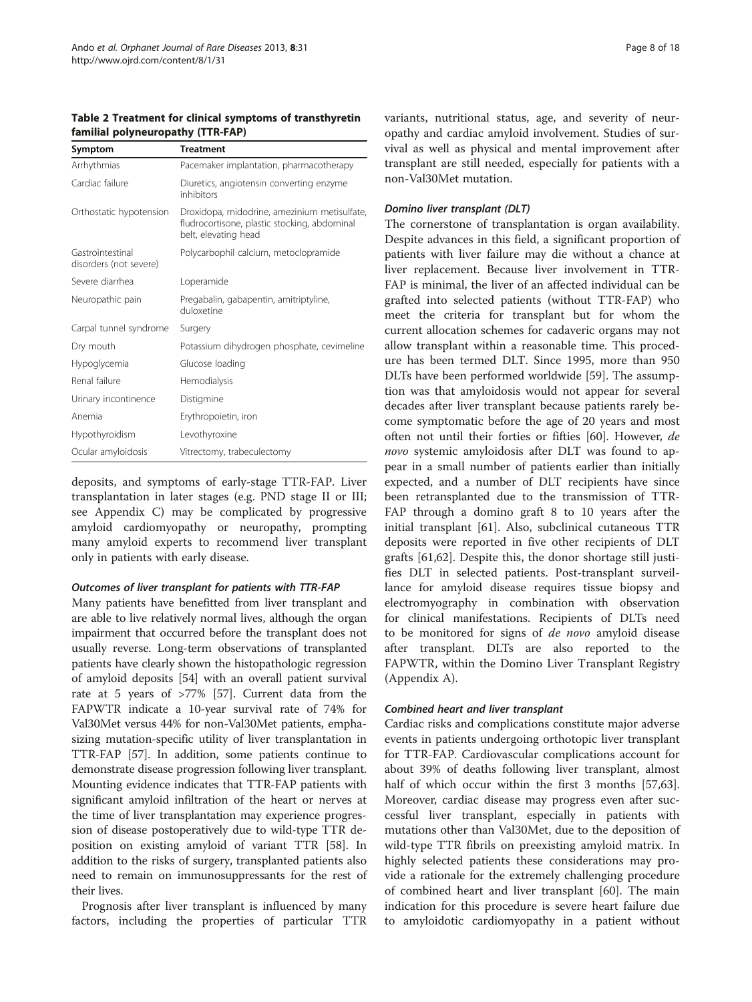<span id="page-7-0"></span>Table 2 Treatment for clinical symptoms of transthyretin familial polyneuropathy (TTR-FAP)

| Symptom                                    | <b>Treatment</b>                                                                                                     |  |  |  |  |
|--------------------------------------------|----------------------------------------------------------------------------------------------------------------------|--|--|--|--|
| Arrhythmias                                | Pacemaker implantation, pharmacotherapy                                                                              |  |  |  |  |
| Cardiac failure                            | Diuretics, angiotensin converting enzyme<br>inhibitors                                                               |  |  |  |  |
| Orthostatic hypotension                    | Droxidopa, midodrine, amezinium metisulfate,<br>fludrocortisone, plastic stocking, abdominal<br>belt, elevating head |  |  |  |  |
| Gastrointestinal<br>disorders (not severe) | Polycarbophil calcium, metoclopramide                                                                                |  |  |  |  |
| Severe diarrhea                            | Loperamide                                                                                                           |  |  |  |  |
| Neuropathic pain                           | Pregabalin, gabapentin, amitriptyline,<br>duloxetine                                                                 |  |  |  |  |
| Carpal tunnel syndrome                     | Surgery                                                                                                              |  |  |  |  |
| Dry mouth                                  | Potassium dihydrogen phosphate, cevimeline                                                                           |  |  |  |  |
| Hypoglycemia                               | Glucose loading                                                                                                      |  |  |  |  |
| Renal failure                              | Hemodialysis                                                                                                         |  |  |  |  |
| Urinary incontinence                       | Distigmine                                                                                                           |  |  |  |  |
| Anemia                                     | Erythropoietin, iron                                                                                                 |  |  |  |  |
| Hypothyroidism                             | Levothyroxine                                                                                                        |  |  |  |  |
| Ocular amyloidosis                         | Vitrectomy, trabeculectomy                                                                                           |  |  |  |  |

deposits, and symptoms of early-stage TTR-FAP. Liver transplantation in later stages (e.g. PND stage II or III; see Appendix C) may be complicated by progressive amyloid cardiomyopathy or neuropathy, prompting many amyloid experts to recommend liver transplant only in patients with early disease.

#### Outcomes of liver transplant for patients with TTR-FAP

Many patients have benefitted from liver transplant and are able to live relatively normal lives, although the organ impairment that occurred before the transplant does not usually reverse. Long-term observations of transplanted patients have clearly shown the histopathologic regression of amyloid deposits [\[54](#page-16-0)] with an overall patient survival rate at 5 years of >77% [[57](#page-16-0)]. Current data from the FAPWTR indicate a 10-year survival rate of 74% for Val30Met versus 44% for non-Val30Met patients, emphasizing mutation-specific utility of liver transplantation in TTR-FAP [\[57\]](#page-16-0). In addition, some patients continue to demonstrate disease progression following liver transplant. Mounting evidence indicates that TTR-FAP patients with significant amyloid infiltration of the heart or nerves at the time of liver transplantation may experience progression of disease postoperatively due to wild-type TTR deposition on existing amyloid of variant TTR [\[58\]](#page-16-0). In addition to the risks of surgery, transplanted patients also need to remain on immunosuppressants for the rest of their lives.

Prognosis after liver transplant is influenced by many factors, including the properties of particular TTR variants, nutritional status, age, and severity of neuropathy and cardiac amyloid involvement. Studies of survival as well as physical and mental improvement after transplant are still needed, especially for patients with a non-Val30Met mutation.

## Domino liver transplant (DLT)

The cornerstone of transplantation is organ availability. Despite advances in this field, a significant proportion of patients with liver failure may die without a chance at liver replacement. Because liver involvement in TTR-FAP is minimal, the liver of an affected individual can be grafted into selected patients (without TTR-FAP) who meet the criteria for transplant but for whom the current allocation schemes for cadaveric organs may not allow transplant within a reasonable time. This procedure has been termed DLT. Since 1995, more than 950 DLTs have been performed worldwide [\[59\]](#page-16-0). The assumption was that amyloidosis would not appear for several decades after liver transplant because patients rarely become symptomatic before the age of 20 years and most often not until their forties or fifties [\[60](#page-16-0)]. However, de novo systemic amyloidosis after DLT was found to appear in a small number of patients earlier than initially expected, and a number of DLT recipients have since been retransplanted due to the transmission of TTR-FAP through a domino graft 8 to 10 years after the initial transplant [\[61](#page-16-0)]. Also, subclinical cutaneous TTR deposits were reported in five other recipients of DLT grafts [[61,62\]](#page-16-0). Despite this, the donor shortage still justifies DLT in selected patients. Post-transplant surveillance for amyloid disease requires tissue biopsy and electromyography in combination with observation for clinical manifestations. Recipients of DLTs need to be monitored for signs of de novo amyloid disease after transplant. DLTs are also reported to the FAPWTR, within the Domino Liver Transplant Registry (Appendix [A\)](#page-11-0).

## Combined heart and liver transplant

Cardiac risks and complications constitute major adverse events in patients undergoing orthotopic liver transplant for TTR-FAP. Cardiovascular complications account for about 39% of deaths following liver transplant, almost half of which occur within the first 3 months [\[57,63](#page-16-0)]. Moreover, cardiac disease may progress even after successful liver transplant, especially in patients with mutations other than Val30Met, due to the deposition of wild-type TTR fibrils on preexisting amyloid matrix. In highly selected patients these considerations may provide a rationale for the extremely challenging procedure of combined heart and liver transplant [[60\]](#page-16-0). The main indication for this procedure is severe heart failure due to amyloidotic cardiomyopathy in a patient without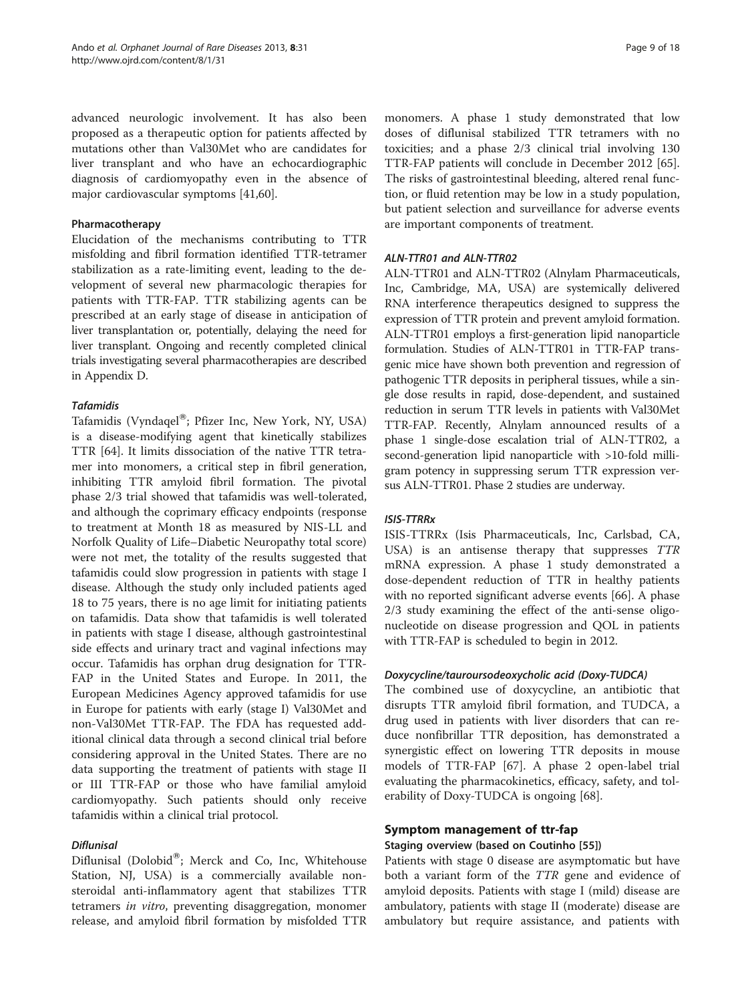advanced neurologic involvement. It has also been proposed as a therapeutic option for patients affected by mutations other than Val30Met who are candidates for liver transplant and who have an echocardiographic diagnosis of cardiomyopathy even in the absence of major cardiovascular symptoms [[41,60\]](#page-16-0).

#### Pharmacotherapy

Elucidation of the mechanisms contributing to TTR misfolding and fibril formation identified TTR-tetramer stabilization as a rate-limiting event, leading to the development of several new pharmacologic therapies for patients with TTR-FAP. TTR stabilizing agents can be prescribed at an early stage of disease in anticipation of liver transplantation or, potentially, delaying the need for liver transplant. Ongoing and recently completed clinical trials investigating several pharmacotherapies are described in Appendix [D](#page-11-0).

### Tafamidis

Tafamidis (Vyndaqel®; Pfizer Inc, New York, NY, USA) is a disease-modifying agent that kinetically stabilizes TTR [[64\]](#page-16-0). It limits dissociation of the native TTR tetramer into monomers, a critical step in fibril generation, inhibiting TTR amyloid fibril formation. The pivotal phase 2/3 trial showed that tafamidis was well-tolerated, and although the coprimary efficacy endpoints (response to treatment at Month 18 as measured by NIS-LL and Norfolk Quality of Life–Diabetic Neuropathy total score) were not met, the totality of the results suggested that tafamidis could slow progression in patients with stage I disease. Although the study only included patients aged 18 to 75 years, there is no age limit for initiating patients on tafamidis. Data show that tafamidis is well tolerated in patients with stage I disease, although gastrointestinal side effects and urinary tract and vaginal infections may occur. Tafamidis has orphan drug designation for TTR-FAP in the United States and Europe. In 2011, the European Medicines Agency approved tafamidis for use in Europe for patients with early (stage I) Val30Met and non-Val30Met TTR-FAP. The FDA has requested additional clinical data through a second clinical trial before considering approval in the United States. There are no data supporting the treatment of patients with stage II or III TTR-FAP or those who have familial amyloid cardiomyopathy. Such patients should only receive tafamidis within a clinical trial protocol.

## Diflunisal

Diflunisal (Dolobid®; Merck and Co, Inc, Whitehouse Station, NJ, USA) is a commercially available nonsteroidal anti-inflammatory agent that stabilizes TTR tetramers in vitro, preventing disaggregation, monomer release, and amyloid fibril formation by misfolded TTR

monomers. A phase 1 study demonstrated that low doses of diflunisal stabilized TTR tetramers with no toxicities; and a phase 2/3 clinical trial involving 130 TTR-FAP patients will conclude in December 2012 [\[65](#page-16-0)]. The risks of gastrointestinal bleeding, altered renal function, or fluid retention may be low in a study population, but patient selection and surveillance for adverse events are important components of treatment.

### ALN-TTR01 and ALN-TTR02

ALN-TTR01 and ALN-TTR02 (Alnylam Pharmaceuticals, Inc, Cambridge, MA, USA) are systemically delivered RNA interference therapeutics designed to suppress the expression of TTR protein and prevent amyloid formation. ALN-TTR01 employs a first-generation lipid nanoparticle formulation. Studies of ALN-TTR01 in TTR-FAP transgenic mice have shown both prevention and regression of pathogenic TTR deposits in peripheral tissues, while a single dose results in rapid, dose-dependent, and sustained reduction in serum TTR levels in patients with Val30Met TTR-FAP. Recently, Alnylam announced results of a phase 1 single-dose escalation trial of ALN-TTR02, a second-generation lipid nanoparticle with >10-fold milligram potency in suppressing serum TTR expression versus ALN-TTR01. Phase 2 studies are underway.

## ISIS-TTRRx

ISIS-TTRRx (Isis Pharmaceuticals, Inc, Carlsbad, CA, USA) is an antisense therapy that suppresses TTR mRNA expression. A phase 1 study demonstrated a dose-dependent reduction of TTR in healthy patients with no reported significant adverse events [\[66](#page-16-0)]. A phase 2/3 study examining the effect of the anti-sense oligonucleotide on disease progression and QOL in patients with TTR-FAP is scheduled to begin in 2012.

## Doxycycline/tauroursodeoxycholic acid (Doxy-TUDCA)

The combined use of doxycycline, an antibiotic that disrupts TTR amyloid fibril formation, and TUDCA, a drug used in patients with liver disorders that can reduce nonfibrillar TTR deposition, has demonstrated a synergistic effect on lowering TTR deposits in mouse models of TTR-FAP [[67](#page-16-0)]. A phase 2 open-label trial evaluating the pharmacokinetics, efficacy, safety, and tolerability of Doxy-TUDCA is ongoing [\[68](#page-16-0)].

## Symptom management of ttr-fap

## Staging overview (based on Coutinho [\[55](#page-16-0)])

Patients with stage 0 disease are asymptomatic but have both a variant form of the TTR gene and evidence of amyloid deposits. Patients with stage I (mild) disease are ambulatory, patients with stage II (moderate) disease are ambulatory but require assistance, and patients with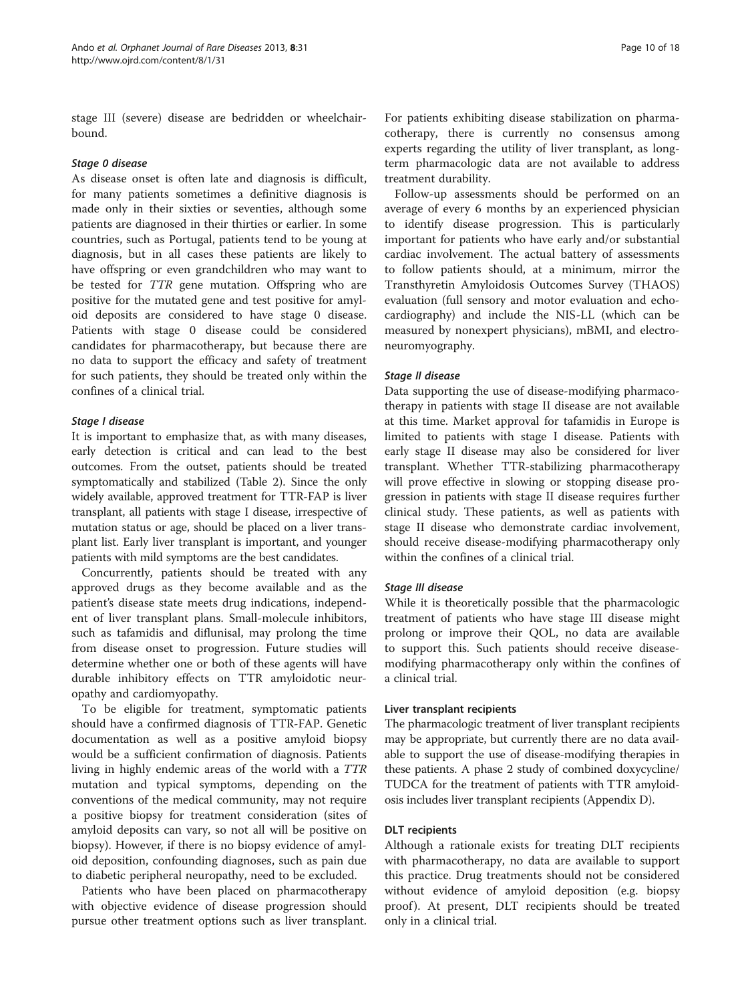stage III (severe) disease are bedridden or wheelchairbound.

#### Stage 0 disease

As disease onset is often late and diagnosis is difficult, for many patients sometimes a definitive diagnosis is made only in their sixties or seventies, although some patients are diagnosed in their thirties or earlier. In some countries, such as Portugal, patients tend to be young at diagnosis, but in all cases these patients are likely to have offspring or even grandchildren who may want to be tested for TTR gene mutation. Offspring who are positive for the mutated gene and test positive for amyloid deposits are considered to have stage 0 disease. Patients with stage 0 disease could be considered candidates for pharmacotherapy, but because there are no data to support the efficacy and safety of treatment for such patients, they should be treated only within the confines of a clinical trial.

#### Stage I disease

It is important to emphasize that, as with many diseases, early detection is critical and can lead to the best outcomes. From the outset, patients should be treated symptomatically and stabilized (Table [2](#page-7-0)). Since the only widely available, approved treatment for TTR-FAP is liver transplant, all patients with stage I disease, irrespective of mutation status or age, should be placed on a liver transplant list. Early liver transplant is important, and younger patients with mild symptoms are the best candidates.

Concurrently, patients should be treated with any approved drugs as they become available and as the patient's disease state meets drug indications, independent of liver transplant plans. Small-molecule inhibitors, such as tafamidis and diflunisal, may prolong the time from disease onset to progression. Future studies will determine whether one or both of these agents will have durable inhibitory effects on TTR amyloidotic neuropathy and cardiomyopathy.

To be eligible for treatment, symptomatic patients should have a confirmed diagnosis of TTR-FAP. Genetic documentation as well as a positive amyloid biopsy would be a sufficient confirmation of diagnosis. Patients living in highly endemic areas of the world with a TTR mutation and typical symptoms, depending on the conventions of the medical community, may not require a positive biopsy for treatment consideration (sites of amyloid deposits can vary, so not all will be positive on biopsy). However, if there is no biopsy evidence of amyloid deposition, confounding diagnoses, such as pain due to diabetic peripheral neuropathy, need to be excluded.

Patients who have been placed on pharmacotherapy with objective evidence of disease progression should pursue other treatment options such as liver transplant. For patients exhibiting disease stabilization on pharmacotherapy, there is currently no consensus among experts regarding the utility of liver transplant, as longterm pharmacologic data are not available to address treatment durability.

Follow-up assessments should be performed on an average of every 6 months by an experienced physician to identify disease progression. This is particularly important for patients who have early and/or substantial cardiac involvement. The actual battery of assessments to follow patients should, at a minimum, mirror the Transthyretin Amyloidosis Outcomes Survey (THAOS) evaluation (full sensory and motor evaluation and echocardiography) and include the NIS-LL (which can be measured by nonexpert physicians), mBMI, and electroneuromyography.

#### Stage II disease

Data supporting the use of disease-modifying pharmacotherapy in patients with stage II disease are not available at this time. Market approval for tafamidis in Europe is limited to patients with stage I disease. Patients with early stage II disease may also be considered for liver transplant. Whether TTR-stabilizing pharmacotherapy will prove effective in slowing or stopping disease progression in patients with stage II disease requires further clinical study. These patients, as well as patients with stage II disease who demonstrate cardiac involvement, should receive disease-modifying pharmacotherapy only within the confines of a clinical trial.

#### Stage III disease

While it is theoretically possible that the pharmacologic treatment of patients who have stage III disease might prolong or improve their QOL, no data are available to support this. Such patients should receive diseasemodifying pharmacotherapy only within the confines of a clinical trial.

#### Liver transplant recipients

The pharmacologic treatment of liver transplant recipients may be appropriate, but currently there are no data available to support the use of disease-modifying therapies in these patients. A phase 2 study of combined doxycycline/ TUDCA for the treatment of patients with TTR amyloidosis includes liver transplant recipients (Appendix [D\)](#page-13-0).

#### DLT recipients

Although a rationale exists for treating DLT recipients with pharmacotherapy, no data are available to support this practice. Drug treatments should not be considered without evidence of amyloid deposition (e.g. biopsy proof). At present, DLT recipients should be treated only in a clinical trial.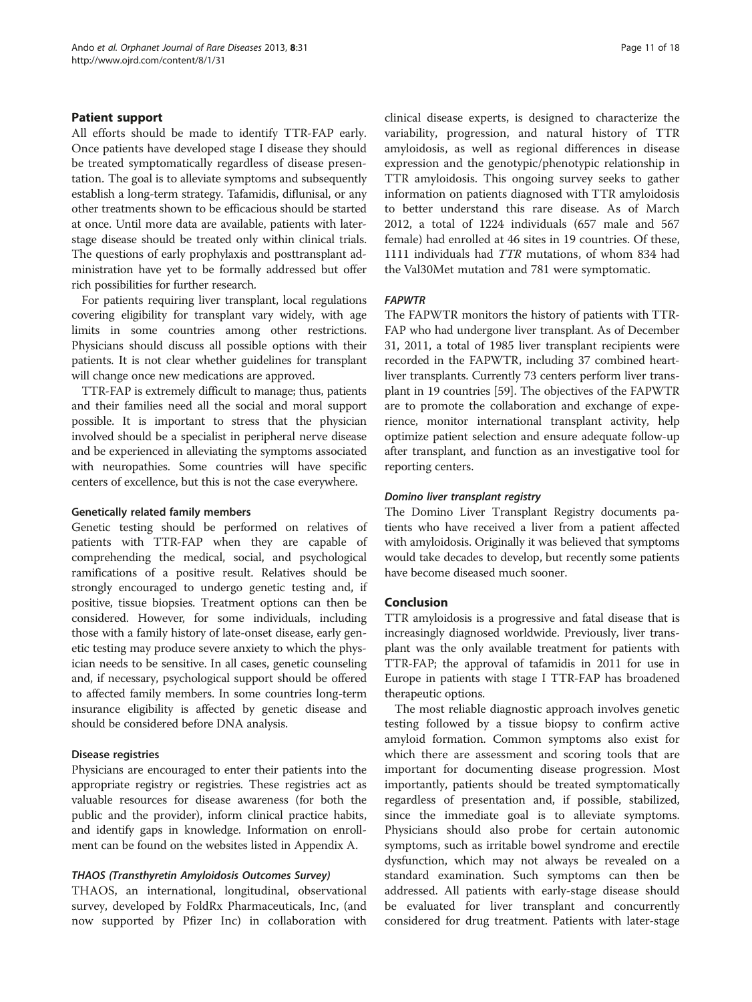### Patient support

All efforts should be made to identify TTR-FAP early. Once patients have developed stage I disease they should be treated symptomatically regardless of disease presentation. The goal is to alleviate symptoms and subsequently establish a long-term strategy. Tafamidis, diflunisal, or any other treatments shown to be efficacious should be started at once. Until more data are available, patients with laterstage disease should be treated only within clinical trials. The questions of early prophylaxis and posttransplant administration have yet to be formally addressed but offer rich possibilities for further research.

For patients requiring liver transplant, local regulations covering eligibility for transplant vary widely, with age limits in some countries among other restrictions. Physicians should discuss all possible options with their patients. It is not clear whether guidelines for transplant will change once new medications are approved.

TTR-FAP is extremely difficult to manage; thus, patients and their families need all the social and moral support possible. It is important to stress that the physician involved should be a specialist in peripheral nerve disease and be experienced in alleviating the symptoms associated with neuropathies. Some countries will have specific centers of excellence, but this is not the case everywhere.

#### Genetically related family members

Genetic testing should be performed on relatives of patients with TTR-FAP when they are capable of comprehending the medical, social, and psychological ramifications of a positive result. Relatives should be strongly encouraged to undergo genetic testing and, if positive, tissue biopsies. Treatment options can then be considered. However, for some individuals, including those with a family history of late-onset disease, early genetic testing may produce severe anxiety to which the physician needs to be sensitive. In all cases, genetic counseling and, if necessary, psychological support should be offered to affected family members. In some countries long-term insurance eligibility is affected by genetic disease and should be considered before DNA analysis.

## Disease registries

Physicians are encouraged to enter their patients into the appropriate registry or registries. These registries act as valuable resources for disease awareness (for both the public and the provider), inform clinical practice habits, and identify gaps in knowledge. Information on enrollment can be found on the websites listed in Appendix [A](#page-11-0).

## THAOS (Transthyretin Amyloidosis Outcomes Survey)

THAOS, an international, longitudinal, observational survey, developed by FoldRx Pharmaceuticals, Inc, (and now supported by Pfizer Inc) in collaboration with

clinical disease experts, is designed to characterize the variability, progression, and natural history of TTR amyloidosis, as well as regional differences in disease expression and the genotypic/phenotypic relationship in TTR amyloidosis. This ongoing survey seeks to gather information on patients diagnosed with TTR amyloidosis to better understand this rare disease. As of March 2012, a total of 1224 individuals (657 male and 567 female) had enrolled at 46 sites in 19 countries. Of these, 1111 individuals had TTR mutations, of whom 834 had the Val30Met mutation and 781 were symptomatic.

## FAPWTR

The FAPWTR monitors the history of patients with TTR-FAP who had undergone liver transplant. As of December 31, 2011, a total of 1985 liver transplant recipients were recorded in the FAPWTR, including 37 combined heartliver transplants. Currently 73 centers perform liver transplant in 19 countries [\[59](#page-16-0)]. The objectives of the FAPWTR are to promote the collaboration and exchange of experience, monitor international transplant activity, help optimize patient selection and ensure adequate follow-up after transplant, and function as an investigative tool for reporting centers.

#### Domino liver transplant registry

The Domino Liver Transplant Registry documents patients who have received a liver from a patient affected with amyloidosis. Originally it was believed that symptoms would take decades to develop, but recently some patients have become diseased much sooner.

## Conclusion

TTR amyloidosis is a progressive and fatal disease that is increasingly diagnosed worldwide. Previously, liver transplant was the only available treatment for patients with TTR-FAP; the approval of tafamidis in 2011 for use in Europe in patients with stage I TTR-FAP has broadened therapeutic options.

The most reliable diagnostic approach involves genetic testing followed by a tissue biopsy to confirm active amyloid formation. Common symptoms also exist for which there are assessment and scoring tools that are important for documenting disease progression. Most importantly, patients should be treated symptomatically regardless of presentation and, if possible, stabilized, since the immediate goal is to alleviate symptoms. Physicians should also probe for certain autonomic symptoms, such as irritable bowel syndrome and erectile dysfunction, which may not always be revealed on a standard examination. Such symptoms can then be addressed. All patients with early-stage disease should be evaluated for liver transplant and concurrently considered for drug treatment. Patients with later-stage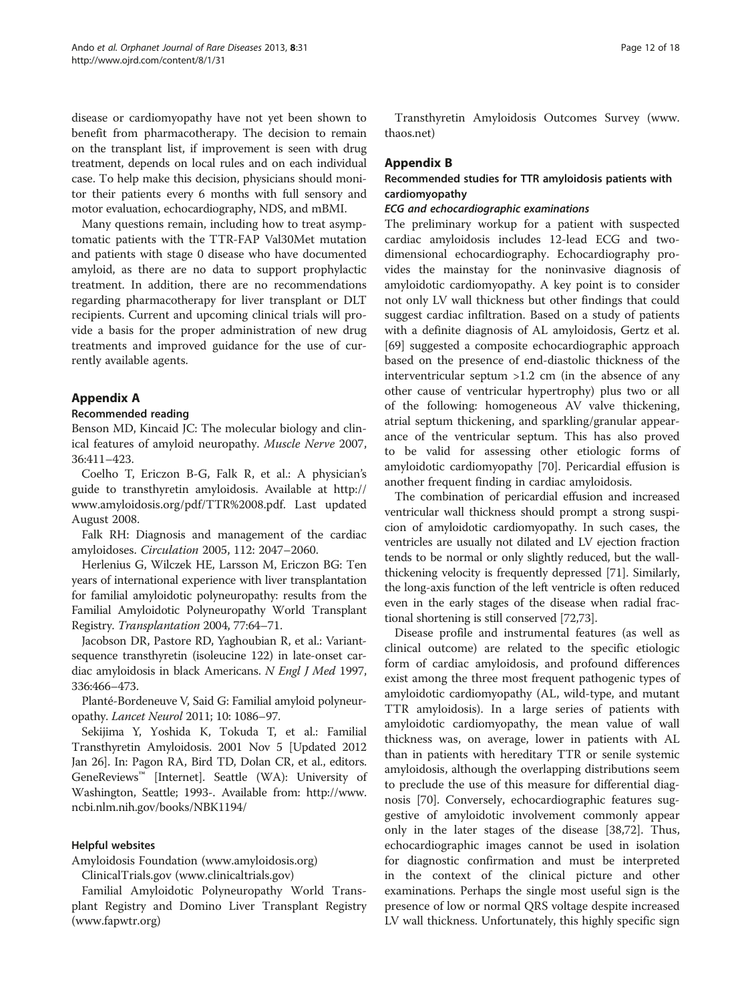<span id="page-11-0"></span>disease or cardiomyopathy have not yet been shown to benefit from pharmacotherapy. The decision to remain on the transplant list, if improvement is seen with drug treatment, depends on local rules and on each individual case. To help make this decision, physicians should monitor their patients every 6 months with full sensory and motor evaluation, echocardiography, NDS, and mBMI.

Many questions remain, including how to treat asymptomatic patients with the TTR-FAP Val30Met mutation and patients with stage 0 disease who have documented amyloid, as there are no data to support prophylactic treatment. In addition, there are no recommendations regarding pharmacotherapy for liver transplant or DLT recipients. Current and upcoming clinical trials will provide a basis for the proper administration of new drug treatments and improved guidance for the use of currently available agents.

## Appendix A

### Recommended reading

Benson MD, Kincaid JC: The molecular biology and clinical features of amyloid neuropathy. Muscle Nerve 2007, 36:411–423.

Coelho T, Ericzon B-G, Falk R, et al.: A physician's guide to transthyretin amyloidosis. Available at [http://](http://www.amyloidosis.org/pdf/TTR%2008.pdf) [www.amyloidosis.org/pdf/TTR%2008.pdf](http://www.amyloidosis.org/pdf/TTR%2008.pdf). Last updated August 2008.

Falk RH: Diagnosis and management of the cardiac amyloidoses. Circulation 2005, 112: 2047–2060.

Herlenius G, Wilczek HE, Larsson M, Ericzon BG: Ten years of international experience with liver transplantation for familial amyloidotic polyneuropathy: results from the Familial Amyloidotic Polyneuropathy World Transplant Registry. Transplantation 2004, 77:64–71.

Jacobson DR, Pastore RD, Yaghoubian R, et al.: Variantsequence transthyretin (isoleucine 122) in late-onset cardiac amyloidosis in black Americans. N Engl J Med 1997, 336:466–473.

Planté-Bordeneuve V, Said G: Familial amyloid polyneuropathy. Lancet Neurol 2011; 10: 1086–97.

Sekijima Y, Yoshida K, Tokuda T, et al.: Familial Transthyretin Amyloidosis. 2001 Nov 5 [Updated 2012 Jan 26]. In: Pagon RA, Bird TD, Dolan CR, et al., editors. GeneReviews™ [Internet]. Seattle (WA): University of Washington, Seattle; 1993-. Available from: [http://www.](http://www.ncbi.nlm.nih.gov/books/NBK1194/) [ncbi.nlm.nih.gov/books/NBK1194/](http://www.ncbi.nlm.nih.gov/books/NBK1194/)

## Helpful websites

Amyloidosis Foundation ([www.amyloidosis.org\)](http://www.amyloidosis.org/)

ClinicalTrials.gov ([www.clinicaltrials.gov\)](http://www.clinicaltrials.gov/)

Familial Amyloidotic Polyneuropathy World Transplant Registry and Domino Liver Transplant Registry ([www.fapwtr.org](http://www.fapwtr.org/))

Transthyretin Amyloidosis Outcomes Survey ([www.](http://www.thaos.net/) [thaos.net\)](http://www.thaos.net/)

## Appendix B

## Recommended studies for TTR amyloidosis patients with cardiomyopathy

## ECG and echocardiographic examinations

The preliminary workup for a patient with suspected cardiac amyloidosis includes 12-lead ECG and twodimensional echocardiography. Echocardiography provides the mainstay for the noninvasive diagnosis of amyloidotic cardiomyopathy. A key point is to consider not only LV wall thickness but other findings that could suggest cardiac infiltration. Based on a study of patients with a definite diagnosis of AL amyloidosis, Gertz et al. [[69\]](#page-16-0) suggested a composite echocardiographic approach based on the presence of end-diastolic thickness of the interventricular septum >1.2 cm (in the absence of any other cause of ventricular hypertrophy) plus two or all of the following: homogeneous AV valve thickening, atrial septum thickening, and sparkling/granular appearance of the ventricular septum. This has also proved to be valid for assessing other etiologic forms of amyloidotic cardiomyopathy [\[70](#page-16-0)]. Pericardial effusion is another frequent finding in cardiac amyloidosis.

The combination of pericardial effusion and increased ventricular wall thickness should prompt a strong suspicion of amyloidotic cardiomyopathy. In such cases, the ventricles are usually not dilated and LV ejection fraction tends to be normal or only slightly reduced, but the wallthickening velocity is frequently depressed [\[71\]](#page-16-0). Similarly, the long-axis function of the left ventricle is often reduced even in the early stages of the disease when radial fractional shortening is still conserved [[72,73](#page-16-0)].

Disease profile and instrumental features (as well as clinical outcome) are related to the specific etiologic form of cardiac amyloidosis, and profound differences exist among the three most frequent pathogenic types of amyloidotic cardiomyopathy (AL, wild-type, and mutant TTR amyloidosis). In a large series of patients with amyloidotic cardiomyopathy, the mean value of wall thickness was, on average, lower in patients with AL than in patients with hereditary TTR or senile systemic amyloidosis, although the overlapping distributions seem to preclude the use of this measure for differential diagnosis [\[70](#page-16-0)]. Conversely, echocardiographic features suggestive of amyloidotic involvement commonly appear only in the later stages of the disease [[38](#page-16-0),[72](#page-16-0)]. Thus, echocardiographic images cannot be used in isolation for diagnostic confirmation and must be interpreted in the context of the clinical picture and other examinations. Perhaps the single most useful sign is the presence of low or normal QRS voltage despite increased LV wall thickness. Unfortunately, this highly specific sign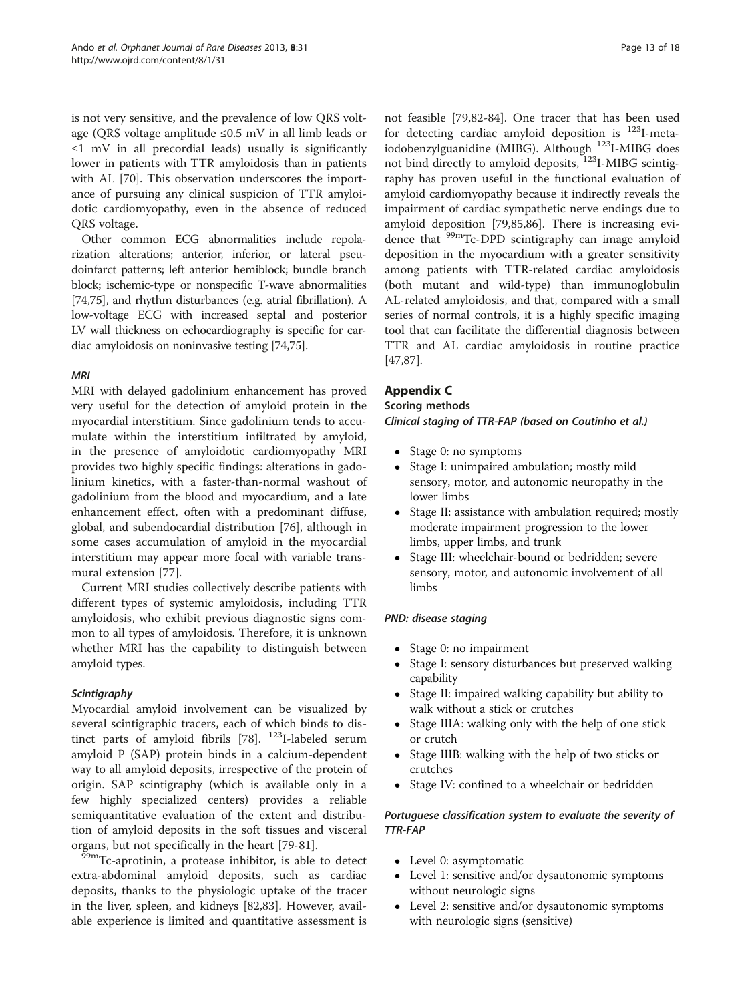is not very sensitive, and the prevalence of low QRS voltage (QRS voltage amplitude ≤0.5 mV in all limb leads or ≤1 mV in all precordial leads) usually is significantly lower in patients with TTR amyloidosis than in patients with AL [[70\]](#page-16-0). This observation underscores the importance of pursuing any clinical suspicion of TTR amyloidotic cardiomyopathy, even in the absence of reduced QRS voltage.

Other common ECG abnormalities include repolarization alterations; anterior, inferior, or lateral pseudoinfarct patterns; left anterior hemiblock; bundle branch block; ischemic-type or nonspecific T-wave abnormalities [[74](#page-16-0)[,75\]](#page-17-0), and rhythm disturbances (e.g. atrial fibrillation). A low-voltage ECG with increased septal and posterior LV wall thickness on echocardiography is specific for cardiac amyloidosis on noninvasive testing [[74](#page-16-0)[,75\]](#page-17-0).

## MRI

MRI with delayed gadolinium enhancement has proved very useful for the detection of amyloid protein in the myocardial interstitium. Since gadolinium tends to accumulate within the interstitium infiltrated by amyloid, in the presence of amyloidotic cardiomyopathy MRI provides two highly specific findings: alterations in gadolinium kinetics, with a faster-than-normal washout of gadolinium from the blood and myocardium, and a late enhancement effect, often with a predominant diffuse, global, and subendocardial distribution [[76](#page-17-0)], although in some cases accumulation of amyloid in the myocardial interstitium may appear more focal with variable transmural extension [[77\]](#page-17-0).

Current MRI studies collectively describe patients with different types of systemic amyloidosis, including TTR amyloidosis, who exhibit previous diagnostic signs common to all types of amyloidosis. Therefore, it is unknown whether MRI has the capability to distinguish between amyloid types.

## **Scintigraphy**

Myocardial amyloid involvement can be visualized by several scintigraphic tracers, each of which binds to dis-tinct parts of amyloid fibrils [[78\]](#page-17-0).  $123$ I-labeled serum amyloid P (SAP) protein binds in a calcium-dependent way to all amyloid deposits, irrespective of the protein of origin. SAP scintigraphy (which is available only in a few highly specialized centers) provides a reliable semiquantitative evaluation of the extent and distribution of amyloid deposits in the soft tissues and visceral

organs, but not specifically in the heart [\[79](#page-17-0)-[81\]](#page-17-0).<br><sup>99m</sup>Tc-aprotinin, a protease inhibitor, is able to detect extra-abdominal amyloid deposits, such as cardiac deposits, thanks to the physiologic uptake of the tracer in the liver, spleen, and kidneys [[82,83\]](#page-17-0). However, available experience is limited and quantitative assessment is

not feasible [\[79,82-84](#page-17-0)]. One tracer that has been used for detecting cardiac amyloid deposition is  $^{123}$ I-metaiodobenzylguanidine (MIBG). Although 123I-MIBG does not bind directly to amyloid deposits, <sup>123</sup>I-MIBG scintigraphy has proven useful in the functional evaluation of amyloid cardiomyopathy because it indirectly reveals the impairment of cardiac sympathetic nerve endings due to amyloid deposition [[79,85](#page-17-0),[86](#page-17-0)]. There is increasing evidence that <sup>99m</sup>Tc-DPD scintigraphy can image amyloid deposition in the myocardium with a greater sensitivity among patients with TTR-related cardiac amyloidosis (both mutant and wild-type) than immunoglobulin AL-related amyloidosis, and that, compared with a small series of normal controls, it is a highly specific imaging tool that can facilitate the differential diagnosis between TTR and AL cardiac amyloidosis in routine practice [[47,](#page-16-0)[87\]](#page-17-0).

## Appendix C

## Scoring methods

Clinical staging of TTR-FAP (based on Coutinho et al.)

- Stage 0: no symptoms
- Stage I: unimpaired ambulation; mostly mild sensory, motor, and autonomic neuropathy in the lower limbs
- Stage II: assistance with ambulation required; mostly moderate impairment progression to the lower limbs, upper limbs, and trunk
- Stage III: wheelchair-bound or bedridden; severe sensory, motor, and autonomic involvement of all limbs

## PND: disease staging

- Stage 0: no impairment
- Stage I: sensory disturbances but preserved walking capability
- Stage II: impaired walking capability but ability to walk without a stick or crutches
- Stage IIIA: walking only with the help of one stick or crutch
- Stage IIIB: walking with the help of two sticks or crutches
- Stage IV: confined to a wheelchair or bedridden

## Portuguese classification system to evaluate the severity of TTR-FAP

- Level 0: asymptomatic
- Level 1: sensitive and/or dysautonomic symptoms without neurologic signs
- Level 2: sensitive and/or dysautonomic symptoms with neurologic signs (sensitive)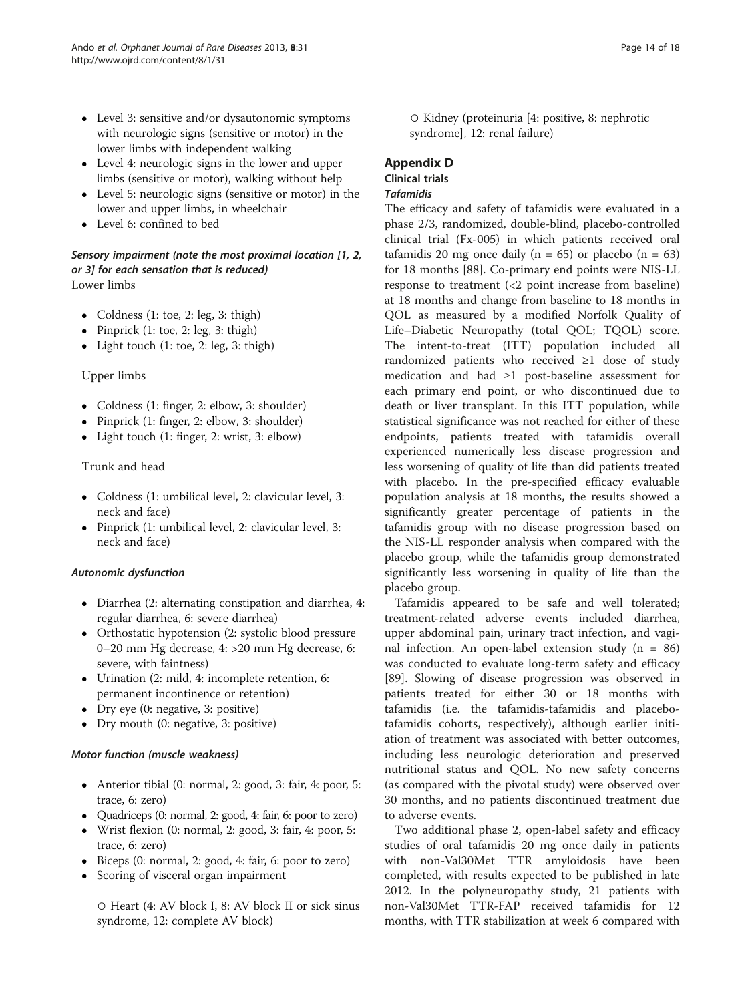- <span id="page-13-0"></span> Level 3: sensitive and/or dysautonomic symptoms with neurologic signs (sensitive or motor) in the lower limbs with independent walking
- Level 4: neurologic signs in the lower and upper limbs (sensitive or motor), walking without help
- Level 5: neurologic signs (sensitive or motor) in the lower and upper limbs, in wheelchair
- Level 6: confined to bed

## Sensory impairment (note the most proximal location [1, 2, or 3] for each sensation that is reduced) Lower limbs

- Coldness  $(1:$  toe,  $2:$  leg,  $3:$  thigh)
- Pinprick  $(1:$  toe,  $2:$  leg,  $3:$  thigh)
- Light touch  $(1:$  toe,  $2:$  leg,  $3:$  thigh)

## Upper limbs

- Coldness (1: finger, 2: elbow, 3: shoulder)
- Pinprick (1: finger, 2: elbow, 3: shoulder)
- Light touch (1: finger, 2: wrist, 3: elbow)

## Trunk and head

- Coldness (1: umbilical level, 2: clavicular level, 3: neck and face)
- Pinprick (1: umbilical level, 2: clavicular level, 3: neck and face)

## Autonomic dysfunction

- Diarrhea (2: alternating constipation and diarrhea, 4: regular diarrhea, 6: severe diarrhea)
- Orthostatic hypotension (2: systolic blood pressure 0–20 mm Hg decrease, 4: >20 mm Hg decrease, 6: severe, with faintness)
- Urination (2: mild, 4: incomplete retention, 6: permanent incontinence or retention)
- Dry eye (0: negative, 3: positive)
- Dry mouth (0: negative, 3: positive)

## Motor function (muscle weakness)

- Anterior tibial (0: normal, 2: good, 3: fair, 4: poor, 5: trace, 6: zero)
- Quadriceps (0: normal, 2: good, 4: fair, 6: poor to zero)
- Wrist flexion (0: normal, 2: good, 3: fair, 4: poor, 5: trace, 6: zero)
- Biceps (0: normal, 2: good, 4: fair, 6: poor to zero)
- Scoring of visceral organ impairment

○ Heart (4: AV block I, 8: AV block II or sick sinus syndrome, 12: complete AV block)

○ Kidney (proteinuria [4: positive, 8: nephrotic syndrome], 12: renal failure)

## Appendix D

## Clinical trials

## Tafamidis

The efficacy and safety of tafamidis were evaluated in a phase 2/3, randomized, double-blind, placebo-controlled clinical trial (Fx-005) in which patients received oral tafamidis 20 mg once daily (n = 65) or placebo (n = 63) for 18 months [[88\]](#page-17-0). Co-primary end points were NIS-LL response to treatment (<2 point increase from baseline) at 18 months and change from baseline to 18 months in QOL as measured by a modified Norfolk Quality of Life–Diabetic Neuropathy (total OOL; TOOL) score. The intent-to-treat (ITT) population included all randomized patients who received ≥1 dose of study medication and had ≥1 post-baseline assessment for each primary end point, or who discontinued due to death or liver transplant. In this ITT population, while statistical significance was not reached for either of these endpoints, patients treated with tafamidis overall experienced numerically less disease progression and less worsening of quality of life than did patients treated with placebo. In the pre-specified efficacy evaluable population analysis at 18 months, the results showed a significantly greater percentage of patients in the tafamidis group with no disease progression based on the NIS-LL responder analysis when compared with the placebo group, while the tafamidis group demonstrated significantly less worsening in quality of life than the placebo group.

Tafamidis appeared to be safe and well tolerated; treatment-related adverse events included diarrhea, upper abdominal pain, urinary tract infection, and vaginal infection. An open-label extension study  $(n = 86)$ was conducted to evaluate long-term safety and efficacy [[89\]](#page-17-0). Slowing of disease progression was observed in patients treated for either 30 or 18 months with tafamidis (i.e. the tafamidis-tafamidis and placebotafamidis cohorts, respectively), although earlier initiation of treatment was associated with better outcomes, including less neurologic deterioration and preserved nutritional status and QOL. No new safety concerns (as compared with the pivotal study) were observed over 30 months, and no patients discontinued treatment due to adverse events.

Two additional phase 2, open-label safety and efficacy studies of oral tafamidis 20 mg once daily in patients with non-Val30Met TTR amyloidosis have been completed, with results expected to be published in late 2012. In the polyneuropathy study, 21 patients with non-Val30Met TTR-FAP received tafamidis for 12 months, with TTR stabilization at week 6 compared with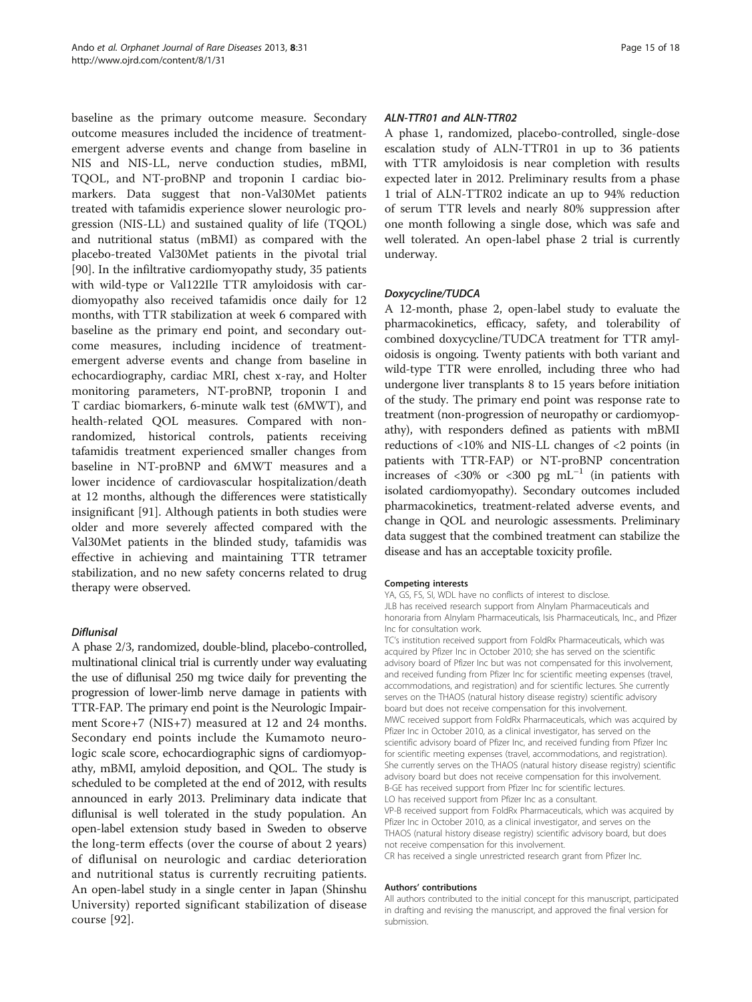baseline as the primary outcome measure. Secondary outcome measures included the incidence of treatmentemergent adverse events and change from baseline in NIS and NIS-LL, nerve conduction studies, mBMI, TQOL, and NT-proBNP and troponin I cardiac biomarkers. Data suggest that non-Val30Met patients treated with tafamidis experience slower neurologic progression (NIS-LL) and sustained quality of life (TQOL) and nutritional status (mBMI) as compared with the placebo-treated Val30Met patients in the pivotal trial [[90\]](#page-17-0). In the infiltrative cardiomyopathy study, 35 patients with wild-type or Val122Ile TTR amyloidosis with cardiomyopathy also received tafamidis once daily for 12 months, with TTR stabilization at week 6 compared with baseline as the primary end point, and secondary outcome measures, including incidence of treatmentemergent adverse events and change from baseline in echocardiography, cardiac MRI, chest x-ray, and Holter monitoring parameters, NT-proBNP, troponin I and T cardiac biomarkers, 6-minute walk test (6MWT), and health-related QOL measures. Compared with nonrandomized, historical controls, patients receiving tafamidis treatment experienced smaller changes from baseline in NT-proBNP and 6MWT measures and a lower incidence of cardiovascular hospitalization/death at 12 months, although the differences were statistically insignificant [[91](#page-17-0)]. Although patients in both studies were older and more severely affected compared with the Val30Met patients in the blinded study, tafamidis was effective in achieving and maintaining TTR tetramer stabilization, and no new safety concerns related to drug therapy were observed.

#### Diflunisal

A phase 2/3, randomized, double-blind, placebo-controlled, multinational clinical trial is currently under way evaluating the use of diflunisal 250 mg twice daily for preventing the progression of lower-limb nerve damage in patients with TTR-FAP. The primary end point is the Neurologic Impairment Score+7 (NIS+7) measured at 12 and 24 months. Secondary end points include the Kumamoto neurologic scale score, echocardiographic signs of cardiomyopathy, mBMI, amyloid deposition, and QOL. The study is scheduled to be completed at the end of 2012, with results announced in early 2013. Preliminary data indicate that diflunisal is well tolerated in the study population. An open-label extension study based in Sweden to observe the long-term effects (over the course of about 2 years) of diflunisal on neurologic and cardiac deterioration and nutritional status is currently recruiting patients. An open-label study in a single center in Japan (Shinshu University) reported significant stabilization of disease course [[92\]](#page-17-0).

### ALN-TTR01 and ALN-TTR02

A phase 1, randomized, placebo-controlled, single-dose escalation study of ALN-TTR01 in up to 36 patients with TTR amyloidosis is near completion with results expected later in 2012. Preliminary results from a phase 1 trial of ALN-TTR02 indicate an up to 94% reduction of serum TTR levels and nearly 80% suppression after one month following a single dose, which was safe and well tolerated. An open-label phase 2 trial is currently underway.

## Doxycycline/TUDCA

A 12-month, phase 2, open-label study to evaluate the pharmacokinetics, efficacy, safety, and tolerability of combined doxycycline/TUDCA treatment for TTR amyloidosis is ongoing. Twenty patients with both variant and wild-type TTR were enrolled, including three who had undergone liver transplants 8 to 15 years before initiation of the study. The primary end point was response rate to treatment (non-progression of neuropathy or cardiomyopathy), with responders defined as patients with mBMI reductions of <10% and NIS-LL changes of <2 points (in patients with TTR-FAP) or NT-proBNP concentration increases of <30% or <300 pg  $\mathrm{mL}^{-1}$  (in patients with isolated cardiomyopathy). Secondary outcomes included pharmacokinetics, treatment-related adverse events, and change in QOL and neurologic assessments. Preliminary data suggest that the combined treatment can stabilize the disease and has an acceptable toxicity profile.

#### Competing interests

YA, GS, FS, SI, WDL have no conflicts of interest to disclose. JLB has received research support from Alnylam Pharmaceuticals and honoraria from Alnylam Pharmaceuticals, Isis Pharmaceuticals, Inc., and Pfizer Inc for consultation work.

TC's institution received support from FoldRx Pharmaceuticals, which was acquired by Pfizer Inc in October 2010; she has served on the scientific advisory board of Pfizer Inc but was not compensated for this involvement, and received funding from Pfizer Inc for scientific meeting expenses (travel, accommodations, and registration) and for scientific lectures. She currently serves on the THAOS (natural history disease registry) scientific advisory board but does not receive compensation for this involvement. MWC received support from FoldRx Pharmaceuticals, which was acquired by Pfizer Inc in October 2010, as a clinical investigator, has served on the scientific advisory board of Pfizer Inc, and received funding from Pfizer Inc for scientific meeting expenses (travel, accommodations, and registration). She currently serves on the THAOS (natural history disease registry) scientific advisory board but does not receive compensation for this involvement. B-GE has received support from Pfizer Inc for scientific lectures. LO has received support from Pfizer Inc as a consultant. VP-B received support from FoldRx Pharmaceuticals, which was acquired by Pfizer Inc in October 2010, as a clinical investigator, and serves on the THAOS (natural history disease registry) scientific advisory board, but does

not receive compensation for this involvement. CR has received a single unrestricted research grant from Pfizer Inc.

#### Authors' contributions

All authors contributed to the initial concept for this manuscript, participated in drafting and revising the manuscript, and approved the final version for submission.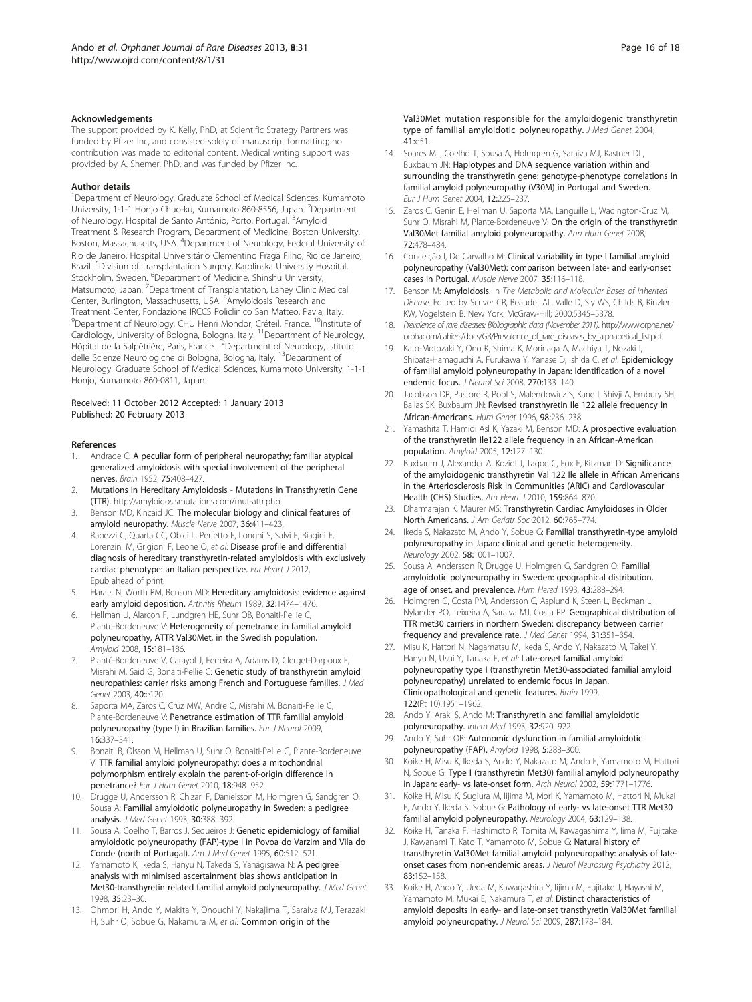#### <span id="page-15-0"></span>Acknowledgements

The support provided by K. Kelly, PhD, at Scientific Strategy Partners was funded by Pfizer Inc, and consisted solely of manuscript formatting; no contribution was made to editorial content. Medical writing support was provided by A. Shemer, PhD, and was funded by Pfizer Inc.

#### Author details

<sup>1</sup>Department of Neurology, Graduate School of Medical Sciences, Kumamoto University, 1-1-1 Honjo Chuo-ku, Kumamoto 860-8556, Japan. <sup>2</sup>Department of Neurology, Hospital de Santo António, Porto, Portugal. <sup>3</sup>Amyloid Treatment & Research Program, Department of Medicine, Boston University, Boston, Massachusetts, USA. <sup>4</sup>Department of Neurology, Federal University of Rio de Janeiro, Hospital Universitário Clementino Fraga Filho, Rio de Janeiro, Brazil. <sup>5</sup>Division of Transplantation Surgery, Karolinska University Hospital, Stockholm, Sweden. <sup>6</sup>Department of Medicine, Shinshu University, Matsumoto, Japan. <sup>7</sup>Department of Transplantation, Lahey Clinic Medical Center, Burlington, Massachusetts, USA. <sup>8</sup>Amyloidosis Research and Treatment Center, Fondazione IRCCS Policlinico San Matteo, Pavia, Italy. <sup>9</sup>Department of Neurology, CHU Henri Mondor, Créteil, France. <sup>10</sup>Institute of Cardiology, University of Bologna, Bologna, Italy. <sup>11</sup>Department of Neurology, Hôpital de la Salpêtrière, Paris, France. 12Department of Neurology, Istituto delle Scienze Neurologiche di Bologna, Bologna, Italy. 13Department of Neurology, Graduate School of Medical Sciences, Kumamoto University, 1-1-1 Honjo, Kumamoto 860-0811, Japan.

#### Received: 11 October 2012 Accepted: 1 January 2013 Published: 20 February 2013

#### References

- 1. Andrade C: A peculiar form of peripheral neuropathy; familiar atypical generalized amyloidosis with special involvement of the peripheral nerves. Brain 1952, 75:408–427.
- 2. Mutations in Hereditary Amyloidosis Mutations in Transthyretin Gene (TTR). <http://amyloidosismutations.com/mut-attr.php>.
- 3. Benson MD, Kincaid JC: The molecular biology and clinical features of amyloid neuropathy. Muscle Nerve 2007, 36:411–423.
- 4. Rapezzi C, Quarta CC, Obici L, Perfetto F, Longhi S, Salvi F, Biagini E, Lorenzini M, Grigioni F, Leone O, et al: Disease profile and differential diagnosis of hereditary transthyretin-related amyloidosis with exclusively cardiac phenotype: an Italian perspective. Eur Heart J 2012, Epub ahead of print.
- 5. Harats N, Worth RM, Benson MD: Hereditary amyloidosis: evidence against early amyloid deposition. Arthritis Rheum 1989, 32:1474-1476.
- 6. Hellman U, Alarcon F, Lundgren HE, Suhr OB, Bonaiti-Pellie C, Plante-Bordeneuve V: Heterogeneity of penetrance in familial amyloid polyneuropathy, ATTR Val30Met, in the Swedish population. Amyloid 2008, 15:181–186.
- Planté-Bordeneuve V, Carayol J, Ferreira A, Adams D, Clerget-Darpoux F Misrahi M, Said G, Bonaiti-Pellie C: Genetic study of transthyretin amyloid neuropathies: carrier risks among French and Portuguese families. J Med Genet 2003, 40:e120.
- Saporta MA, Zaros C, Cruz MW, Andre C, Misrahi M, Bonaiti-Pellie C, Plante-Bordeneuve V: Penetrance estimation of TTR familial amyloid polyneuropathy (type I) in Brazilian families. Eur J Neurol 2009, 16:337–341.
- 9. Bonaiti B, Olsson M, Hellman U, Suhr O, Bonaiti-Pellie C, Plante-Bordeneuve V: TTR familial amyloid polyneuropathy: does a mitochondrial polymorphism entirely explain the parent-of-origin difference in penetrance? Eur J Hum Genet 2010, 18:948–952.
- 10. Drugge U, Andersson R, Chizari F, Danielsson M, Holmgren G, Sandgren O, Sousa A: Familial amyloidotic polyneuropathy in Sweden: a pedigree analysis. J Med Genet 1993, 30:388–392.
- 11. Sousa A, Coelho T, Barros J, Sequeiros J: Genetic epidemiology of familial amyloidotic polyneuropathy (FAP)-type I in Povoa do Varzim and Vila do Conde (north of Portugal). Am J Med Genet 1995, 60:512–521.
- 12. Yamamoto K, Ikeda S, Hanyu N, Takeda S, Yanagisawa N: A pedigree analysis with minimised ascertainment bias shows anticipation in Met30-transthyretin related familial amyloid polyneuropathy. J Med Genet 1998, 35:23–30.
- 13. Ohmori H, Ando Y, Makita Y, Onouchi Y, Nakajima T, Saraiva MJ, Terazaki H, Suhr O, Sobue G, Nakamura M, et al: Common origin of the

Val30Met mutation responsible for the amyloidogenic transthyretin type of familial amyloidotic polyneuropathy. J Med Genet 2004, 41:e51.

- 14. Soares ML, Coelho T, Sousa A, Holmgren G, Saraiva MJ, Kastner DL, Buxbaum JN: Haplotypes and DNA sequence variation within and surrounding the transthyretin gene: genotype-phenotype correlations in familial amyloid polyneuropathy (V30M) in Portugal and Sweden. Eur J Hum Genet 2004, 12:225–237.
- 15. Zaros C, Genin E, Hellman U, Saporta MA, Languille L, Wadington-Cruz M, Suhr O, Misrahi M, Plante-Bordeneuve V: On the origin of the transthyretin Val30Met familial amyloid polyneuropathy. Ann Hum Genet 2008, 72:478–484.
- 16. Conceição I, De Carvalho M: Clinical variability in type I familial amyloid polyneuropathy (Val30Met): comparison between late- and early-onset cases in Portugal. Muscle Nerve 2007, 35:116–118.
- 17. Benson M: Amyloidosis. In The Metabolic and Molecular Bases of Inherited Disease. Edited by Scriver CR, Beaudet AL, Valle D, Sly WS, Childs B, Kinzler KW, Vogelstein B. New York: McGraw-Hill; 2000:5345–5378.
- 18. Prevalence of rare diseases: Bibliographic data (November 2011). [http://www.orpha.net/](http://www.orpha.net/orphacom/cahiers/docs/GB/Prevalence_of_rare_diseases_by_alphabetical_list.pdf) [orphacom/cahiers/docs/GB/Prevalence\\_of\\_rare\\_diseases\\_by\\_alphabetical\\_list.pdf](http://www.orpha.net/orphacom/cahiers/docs/GB/Prevalence_of_rare_diseases_by_alphabetical_list.pdf).
- 19. Kato-Motozaki Y, Ono K, Shima K, Morinaga A, Machiya T, Nozaki I, Shibata-Hamaguchi A, Furukawa Y, Yanase D, Ishida C, et al: Epidemiology of familial amyloid polyneuropathy in Japan: Identification of a novel endemic focus. J Neurol Sci 2008, 270:133–140.
- 20. Jacobson DR, Pastore R, Pool S, Malendowicz S, Kane I, Shivji A, Embury SH, Ballas SK, Buxbaum JN: Revised transthyretin Ile 122 allele frequency in African-Americans. Hum Genet 1996, 98:236–238.
- 21. Yamashita T, Hamidi Asl K, Yazaki M, Benson MD: A prospective evaluation of the transthyretin Ile122 allele frequency in an African-American population. Amyloid 2005, 12:127–130.
- 22. Buxbaum J, Alexander A, Koziol J, Tagoe C, Fox E, Kitzman D: Significance of the amyloidogenic transthyretin Val 122 Ile allele in African Americans in the Arteriosclerosis Risk in Communities (ARIC) and Cardiovascular Health (CHS) Studies. Am Heart J 2010, 159:864–870.
- 23. Dharmarajan K, Maurer MS: Transthyretin Cardiac Amyloidoses in Older North Americans. J Am Geriatr Soc 2012, 60:765-774.
- 24. Ikeda S, Nakazato M, Ando Y, Sobue G: Familial transthyretin-type amyloid polyneuropathy in Japan: clinical and genetic heterogeneity. Neurology 2002, 58:1001–1007.
- 25. Sousa A, Andersson R, Drugge U, Holmgren G, Sandgren O: Familial amyloidotic polyneuropathy in Sweden: geographical distribution, age of onset, and prevalence. Hum Hered 1993, 43:288–294.
- 26. Holmgren G, Costa PM, Andersson C, Asplund K, Steen L, Beckman L, Nylander PO, Teixeira A, Saraiva MJ, Costa PP: Geographical distribution of TTR met30 carriers in northern Sweden: discrepancy between carrier frequency and prevalence rate. J Med Genet 1994, 31:351–354.
- 27. Misu K, Hattori N, Nagamatsu M, Ikeda S, Ando Y, Nakazato M, Takei Y, Hanyu N, Usui Y, Tanaka F, et al: Late-onset familial amyloid polyneuropathy type I (transthyretin Met30-associated familial amyloid polyneuropathy) unrelated to endemic focus in Japan. Clinicopathological and genetic features. Brain 1999, 122(Pt 10):1951–1962.
- 28. Ando Y, Araki S, Ando M: Transthyretin and familial amyloidotic polyneuropathy. Intern Med 1993, 32:920–922.
- 29. Ando Y, Suhr OB: Autonomic dysfunction in familial amyloidotic polyneuropathy (FAP). Amyloid 1998, 5:288–300.
- 30. Koike H, Misu K, Ikeda S, Ando Y, Nakazato M, Ando E, Yamamoto M, Hattori N, Sobue G: Type I (transthyretin Met30) familial amyloid polyneuropathy in Japan: early- vs late-onset form. Arch Neurol 2002, 59:1771–1776.
- 31. Koike H, Misu K, Sugiura M, Iijima M, Mori K, Yamamoto M, Hattori N, Mukai E, Ando Y, Ikeda S, Sobue G: Pathology of early- vs late-onset TTR Met30 familial amyloid polyneuropathy. Neurology 2004, 63:129–138.
- 32. Koike H, Tanaka F, Hashimoto R, Tomita M, Kawagashima Y, Iima M, Fujitake J, Kawanami T, Kato T, Yamamoto M, Sobue G: Natural history of transthyretin Val30Met familial amyloid polyneuropathy: analysis of lateonset cases from non-endemic areas. J Neurol Neurosurg Psychiatry 2012, 83:152–158.
- 33. Koike H, Ando Y, Ueda M, Kawagashira Y, Iijima M, Fujitake J, Hayashi M, Yamamoto M, Mukai E, Nakamura T, et al: Distinct characteristics of amyloid deposits in early- and late-onset transthyretin Val30Met familial amyloid polyneuropathy. J Neurol Sci 2009, 287:178-184.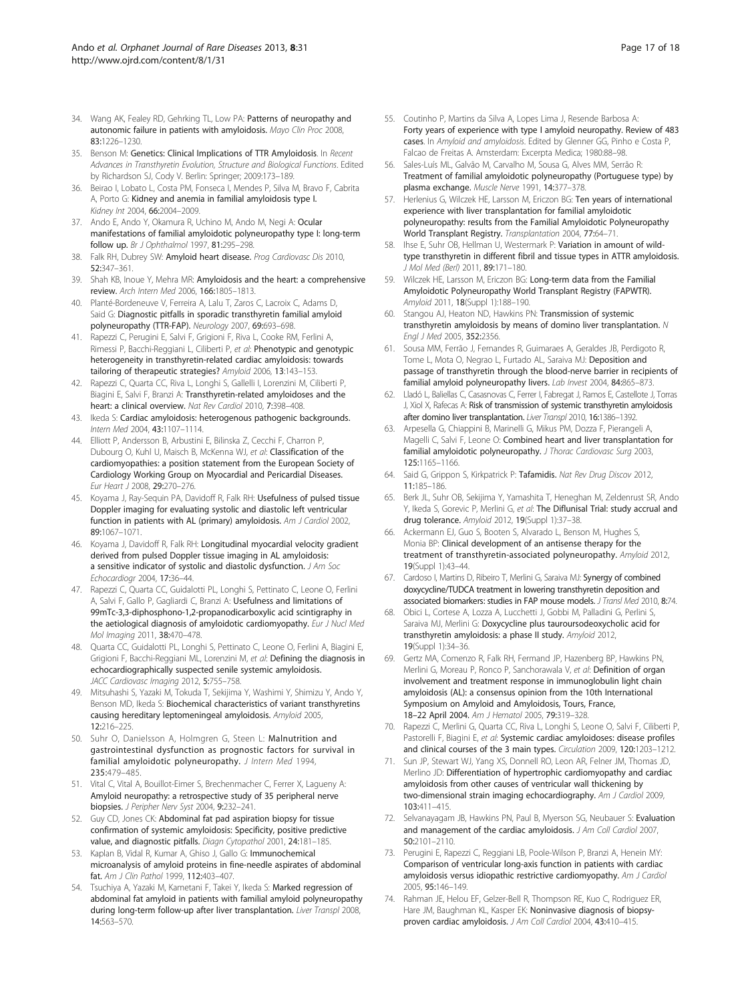- <span id="page-16-0"></span>34. Wang AK, Fealey RD, Gehrking TL, Low PA: Patterns of neuropathy and autonomic failure in patients with amyloidosis. Mayo Clin Proc 2008, 83:1226–1230.
- 35. Benson M: Genetics: Clinical Implications of TTR Amyloidosis. In Recent Advances in Transthyretin Evolution, Structure and Biological Functions. Edited by Richardson SJ, Cody V. Berlin: Springer; 2009:173–189.
- 36. Beirao I, Lobato L, Costa PM, Fonseca I, Mendes P, Silva M, Bravo F, Cabrita A, Porto G: Kidney and anemia in familial amyloidosis type I. Kidney Int 2004, 66:2004–2009.
- 37. Ando E, Ando Y, Okamura R, Uchino M, Ando M, Negi A: Ocular manifestations of familial amyloidotic polyneuropathy type I: long-term follow up. Br J Ophthalmol 1997, 81:295–298.
- 38. Falk RH, Dubrey SW: Amyloid heart disease. Prog Cardiovasc Dis 2010, 52:347–361.
- 39. Shah KB, Inoue Y, Mehra MR: Amyloidosis and the heart: a comprehensive review. Arch Intern Med 2006, 166:1805–1813.
- 40. Planté-Bordeneuve V, Ferreira A, Lalu T, Zaros C, Lacroix C, Adams D, Said G: Diagnostic pitfalls in sporadic transthyretin familial amyloid polyneuropathy (TTR-FAP). Neurology 2007, 69:693–698.
- 41. Rapezzi C, Perugini E, Salvi F, Grigioni F, Riva L, Cooke RM, Ferlini A, Rimessi P, Bacchi-Reggiani L, Ciliberti P, et al: Phenotypic and genotypic heterogeneity in transthyretin-related cardiac amyloidosis: towards tailoring of therapeutic strategies? Amyloid 2006, 13:143–153.
- 42. Rapezzi C, Quarta CC, Riva L, Longhi S, Gallelli I, Lorenzini M, Ciliberti P, Biagini E, Salvi F, Branzi A: Transthyretin-related amyloidoses and the heart: a clinical overview. Nat Rev Cardiol 2010, 7:398–408.
- 43. Ikeda S: Cardiac amyloidosis: heterogenous pathogenic backgrounds. Intern Med 2004, 43:1107–1114.
- 44. Elliott P, Andersson B, Arbustini E, Bilinska Z, Cecchi F, Charron P, Dubourg O, Kuhl U, Maisch B, McKenna WJ, et al: Classification of the cardiomyopathies: a position statement from the European Society of Cardiology Working Group on Myocardial and Pericardial Diseases. Eur Heart J 2008, 29:270–276.
- 45. Koyama J, Ray-Sequin PA, Davidoff R, Falk RH: Usefulness of pulsed tissue Doppler imaging for evaluating systolic and diastolic left ventricular function in patients with AL (primary) amyloidosis. Am J Cardiol 2002, 89:1067–1071.
- 46. Koyama J, Davidoff R, Falk RH: Longitudinal myocardial velocity gradient derived from pulsed Doppler tissue imaging in AL amyloidosis: a sensitive indicator of systolic and diastolic dysfunction. J Am Soc Echocardiogr 2004, 17:36–44.
- 47. Rapezzi C, Quarta CC, Guidalotti PL, Longhi S, Pettinato C, Leone O, Ferlini A, Salvi F, Gallo P, Gagliardi C, Branzi A: Usefulness and limitations of 99mTc-3,3-diphosphono-1,2-propanodicarboxylic acid scintigraphy in the aetiological diagnosis of amyloidotic cardiomyopathy. Eur J Nucl Med Mol Imaging 2011, 38:470–478.
- 48. Quarta CC, Guidalotti PL, Longhi S, Pettinato C, Leone O, Ferlini A, Biagini E, Grigioni F, Bacchi-Reggiani ML, Lorenzini M, et al: Defining the diagnosis in echocardiographically suspected senile systemic amyloidosis. JACC Cardiovasc Imaging 2012, 5:755-758.
- 49. Mitsuhashi S, Yazaki M, Tokuda T, Sekijima Y, Washimi Y, Shimizu Y, Ando Y, Benson MD, Ikeda S: Biochemical characteristics of variant transthyretins causing hereditary leptomeningeal amyloidosis. Amyloid 2005, 12:216–225.
- 50. Suhr O, Danielsson A, Holmgren G, Steen L: Malnutrition and gastrointestinal dysfunction as prognostic factors for survival in familial amyloidotic polyneuropathy. J Intern Med 1994, 235:479–485.
- 51. Vital C, Vital A, Bouillot-Eimer S, Brechenmacher C, Ferrer X, Lagueny A: Amyloid neuropathy: a retrospective study of 35 peripheral nerve biopsies. J Peripher Nerv Syst 2004, 9:232–241.
- 52. Guy CD, Jones CK: Abdominal fat pad aspiration biopsy for tissue confirmation of systemic amyloidosis: Specificity, positive predictive value, and diagnostic pitfalls. Diagn Cytopathol 2001, 24:181-185.
- 53. Kaplan B, Vidal R, Kumar A, Ghiso J, Gallo G: Immunochemical microanalysis of amyloid proteins in fine-needle aspirates of abdominal fat. Am J Clin Pathol 1999, 112:403–407.
- 54. Tsuchiya A, Yazaki M, Kametani F, Takei Y, Ikeda S: Marked regression of abdominal fat amyloid in patients with familial amyloid polyneuropathy during long-term follow-up after liver transplantation. Liver Transpl 2008, 14:563–570.
- 55. Coutinho P, Martins da Silva A, Lopes Lima J, Resende Barbosa A: Forty years of experience with type I amyloid neuropathy. Review of 483 cases. In Amyloid and amyloidosis. Edited by Glenner GG, Pinho e Costa P, Falcao de Freitas A. Amsterdam: Excerpta Medica; 1980:88–98.
- 56. Sales-Luís ML, Galvão M, Carvalho M, Sousa G, Alves MM, Serrão R: Treatment of familial amyloidotic polyneuropathy (Portuguese type) by plasma exchange. Muscle Nerve 1991, 14:377–378.
- 57. Herlenius G, Wilczek HE, Larsson M, Ericzon BG: Ten years of international experience with liver transplantation for familial amyloidotic polyneuropathy: results from the Familial Amyloidotic Polyneuropathy World Transplant Registry. Transplantation 2004, 77:64–71.
- 58. Ihse E, Suhr OB, Hellman U, Westermark P: Variation in amount of wildtype transthyretin in different fibril and tissue types in ATTR amyloidosis. J Mol Med (Berl) 2011, 89:171–180.
- Wilczek HE, Larsson M, Ericzon BG: Long-term data from the Familial Amyloidotic Polyneuropathy World Transplant Registry (FAPWTR). Amyloid 2011, 18(Suppl 1):188-190.
- 60. Stangou AJ, Heaton ND, Hawkins PN: Transmission of systemic transthyretin amyloidosis by means of domino liver transplantation. N Engl J Med 2005, 352:2356.
- 61. Sousa MM, Ferrão J, Fernandes R, Guimaraes A, Geraldes JB, Perdigoto R, Tome L, Mota O, Negrao L, Furtado AL, Saraiva MJ: Deposition and passage of transthyretin through the blood-nerve barrier in recipients of familial amyloid polyneuropathy livers. Lab Invest 2004, 84:865-873.
- 62. Lladó L, Baliellas C, Casasnovas C, Ferrer I, Fabregat J, Ramos E, Castellote J, Torras J, Xiol X, Rafecas A: Risk of transmission of systemic transthyretin amyloidosis after domino liver transplantation. Liver Transpl 2010, 16:1386–1392.
- 63. Arpesella G, Chiappini B, Marinelli G, Mikus PM, Dozza F, Pierangeli A, Magelli C, Salvi F, Leone O: Combined heart and liver transplantation for familial amyloidotic polyneuropathy. J Thorac Cardiovasc Surg 2003, 125:1165–1166.
- 64. Said G, Grippon S, Kirkpatrick P: Tafamidis. Nat Rev Drug Discov 2012, 11:185–186.
- 65. Berk JL, Suhr OB, Sekijima Y, Yamashita T, Heneghan M, Zeldenrust SR, Ando Y, Ikeda S, Gorevic P, Merlini G, et al: The Diflunisal Trial: study accrual and drug tolerance. Amyloid 2012, 19(Suppl 1):37–38.
- 66. Ackermann EJ, Guo S, Booten S, Alvarado L, Benson M, Hughes S, Monia BP: Clinical development of an antisense therapy for the treatment of transthyretin-associated polyneuropathy. Amyloid 2012, 19(Suppl 1):43–44.
- 67. Cardoso I, Martins D, Ribeiro T, Merlini G, Saraiva MJ: Synergy of combined doxycycline/TUDCA treatment in lowering transthyretin deposition and associated biomarkers: studies in FAP mouse models. J Transl Med 2010, 8:74.
- 68. Obici L, Cortese A, Lozza A, Lucchetti J, Gobbi M, Palladini G, Perlini S, Saraiva MJ, Merlini G: Doxycycline plus tauroursodeoxycholic acid for transthyretin amyloidosis: a phase II study. Amyloid 2012, 19(Suppl 1):34–36.
- 69. Gertz MA, Comenzo R, Falk RH, Fermand JP, Hazenberg BP, Hawkins PN, Merlini G, Moreau P, Ronco P, Sanchorawala V, et al: Definition of organ involvement and treatment response in immunoglobulin light chain amyloidosis (AL): a consensus opinion from the 10th International Symposium on Amyloid and Amyloidosis, Tours, France, 18–22 April 2004. Am J Hematol 2005, 79:319–328.
- 70. Rapezzi C, Merlini G, Quarta CC, Riva L, Longhi S, Leone O, Salvi F, Ciliberti P, Pastorelli F, Biagini E, et al: Systemic cardiac amyloidoses: disease profiles and clinical courses of the 3 main types. Circulation 2009, 120:1203–1212.
- 71. Sun JP, Stewart WJ, Yang XS, Donnell RO, Leon AR, Felner JM, Thomas JD, Merlino JD: Differentiation of hypertrophic cardiomyopathy and cardiac amyloidosis from other causes of ventricular wall thickening by two-dimensional strain imaging echocardiography. Am J Cardiol 2009, 103:411–415.
- 72. Selvanayagam JB, Hawkins PN, Paul B, Myerson SG, Neubauer S: Evaluation and management of the cardiac amyloidosis. J Am Coll Cardiol 2007, 50:2101–2110.
- 73. Perugini E, Rapezzi C, Reggiani LB, Poole-Wilson P, Branzi A, Henein MY: Comparison of ventricular long-axis function in patients with cardiac amyloidosis versus idiopathic restrictive cardiomyopathy. Am J Cardiol 2005, 95:146–149.
- 74. Rahman JE, Helou EF, Gelzer-Bell R, Thompson RE, Kuo C, Rodriguez ER, Hare JM, Baughman KL, Kasper EK: Noninvasive diagnosis of biopsyproven cardiac amyloidosis. J Am Coll Cardiol 2004, 43:410-415.